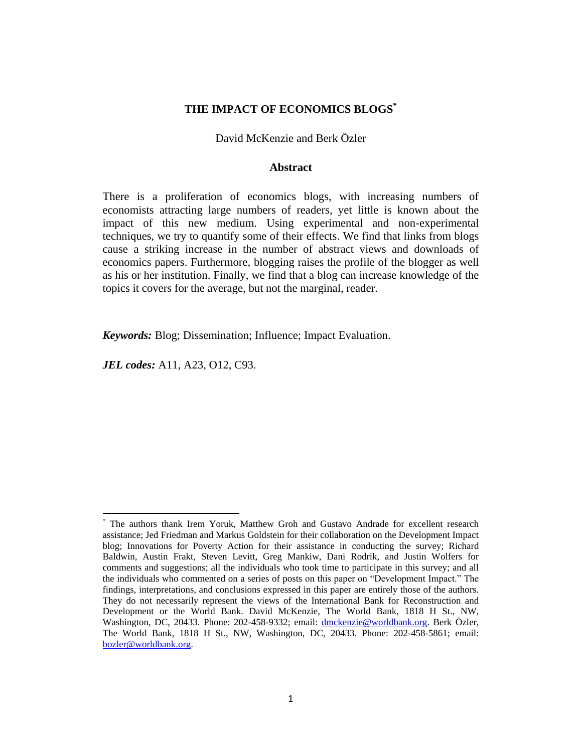## **THE IMPACT OF ECONOMICS BLOGS\***

David McKenzie and Berk Özler

#### **Abstract**

There is a proliferation of economics blogs, with increasing numbers of economists attracting large numbers of readers, yet little is known about the impact of this new medium. Using experimental and non-experimental techniques, we try to quantify some of their effects. We find that links from blogs cause a striking increase in the number of abstract views and downloads of economics papers. Furthermore, blogging raises the profile of the blogger as well as his or her institution. Finally, we find that a blog can increase knowledge of the topics it covers for the average, but not the marginal, reader.

*Keywords:* Blog; Dissemination; Influence; Impact Evaluation.

*JEL codes:* A11, A23, O12, C93.

 $\overline{\phantom{a}}$ 

<sup>\*</sup> The authors thank Irem Yoruk, Matthew Groh and Gustavo Andrade for excellent research assistance; Jed Friedman and Markus Goldstein for their collaboration on the Development Impact blog; Innovations for Poverty Action for their assistance in conducting the survey; Richard Baldwin, Austin Frakt, Steven Levitt, Greg Mankiw, Dani Rodrik, and Justin Wolfers for comments and suggestions; all the individuals who took time to participate in this survey; and all the individuals who commented on a series of posts on this paper on "Development Impact." The findings, interpretations, and conclusions expressed in this paper are entirely those of the authors. They do not necessarily represent the views of the International Bank for Reconstruction and Development or the World Bank. David McKenzie, The World Bank, 1818 H St., NW, Washington, DC, 20433. Phone: 202-458-9332; email: [dmckenzie@worldbank.org.](mailto:dmckenzie@worldbank.org) Berk Özler, The World Bank, 1818 H St., NW, Washington, DC, 20433. Phone: 202-458-5861; email: [bozler@worldbank.org.](mailto:bozler@worldbank.org)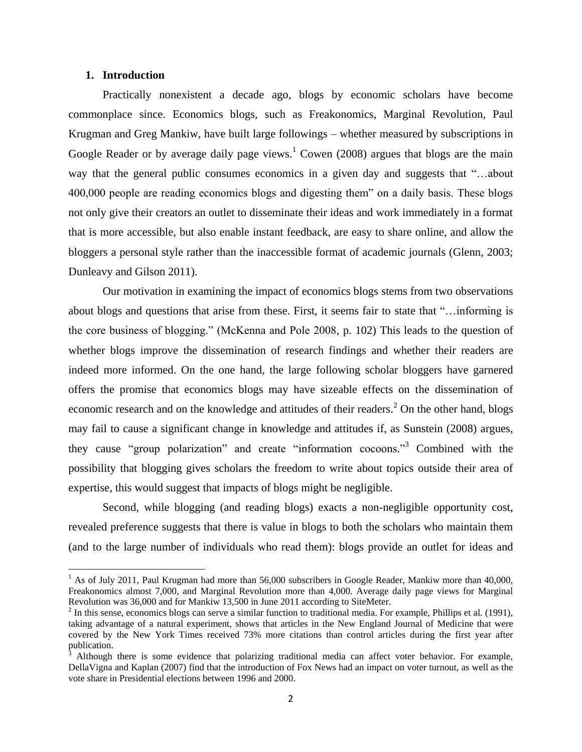## **1. Introduction**

 $\overline{\phantom{a}}$ 

Practically nonexistent a decade ago, blogs by economic scholars have become commonplace since. Economics blogs, such as Freakonomics, Marginal Revolution, Paul Krugman and Greg Mankiw, have built large followings – whether measured by subscriptions in Google Reader or by average daily page views.<sup>1</sup> Cowen (2008) argues that blogs are the main way that the general public consumes economics in a given day and suggests that "…about 400,000 people are reading economics blogs and digesting them" on a daily basis. These blogs not only give their creators an outlet to disseminate their ideas and work immediately in a format that is more accessible, but also enable instant feedback, are easy to share online, and allow the bloggers a personal style rather than the inaccessible format of academic journals (Glenn, 2003; Dunleavy and Gilson 2011).

Our motivation in examining the impact of economics blogs stems from two observations about blogs and questions that arise from these. First, it seems fair to state that "…informing is the core business of blogging." (McKenna and Pole 2008, p. 102) This leads to the question of whether blogs improve the dissemination of research findings and whether their readers are indeed more informed. On the one hand, the large following scholar bloggers have garnered offers the promise that economics blogs may have sizeable effects on the dissemination of economic research and on the knowledge and attitudes of their readers.<sup>2</sup> On the other hand, blogs may fail to cause a significant change in knowledge and attitudes if, as Sunstein (2008) argues, they cause "group polarization" and create "information cocoons."<sup>3</sup> Combined with the possibility that blogging gives scholars the freedom to write about topics outside their area of expertise, this would suggest that impacts of blogs might be negligible.

Second, while blogging (and reading blogs) exacts a non-negligible opportunity cost, revealed preference suggests that there is value in blogs to both the scholars who maintain them (and to the large number of individuals who read them): blogs provide an outlet for ideas and

 $1$  As of July 2011, Paul Krugman had more than 56,000 subscribers in Google Reader, Mankiw more than 40,000, Freakonomics almost 7,000, and Marginal Revolution more than 4,000. Average daily page views for Marginal Revolution was 36,000 and for Mankiw 13,500 in June 2011 according to SiteMeter.

 $2 \text{ In this sense, economics blogs can serve a similar function to traditional media. For example, Phillips et al. (1991),$ taking advantage of a natural experiment, shows that articles in the New England Journal of Medicine that were covered by the New York Times received 73% more citations than control articles during the first year after publication.

<sup>3</sup> Although there is some evidence that polarizing traditional media can affect voter behavior. For example, DellaVigna and Kaplan (2007) find that the introduction of Fox News had an impact on voter turnout, as well as the vote share in Presidential elections between 1996 and 2000.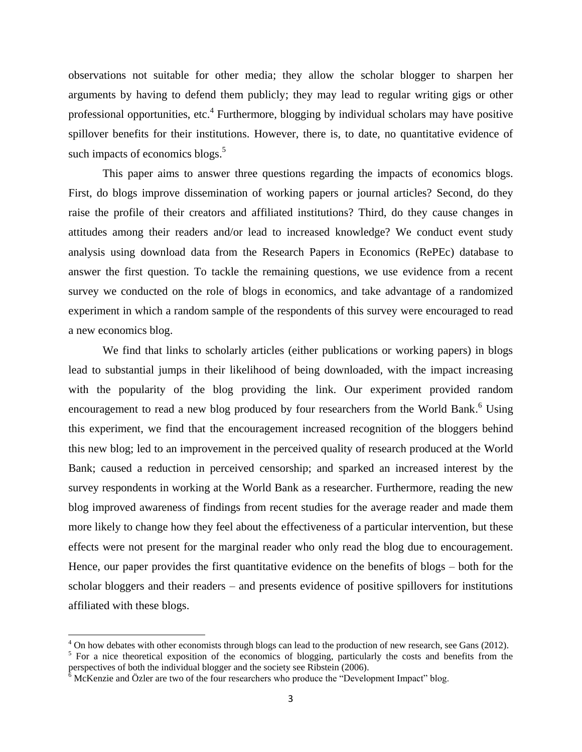observations not suitable for other media; they allow the scholar blogger to sharpen her arguments by having to defend them publicly; they may lead to regular writing gigs or other professional opportunities, etc.<sup>4</sup> Furthermore, blogging by individual scholars may have positive spillover benefits for their institutions. However, there is, to date, no quantitative evidence of such impacts of economics blogs.<sup>5</sup>

This paper aims to answer three questions regarding the impacts of economics blogs. First, do blogs improve dissemination of working papers or journal articles? Second, do they raise the profile of their creators and affiliated institutions? Third, do they cause changes in attitudes among their readers and/or lead to increased knowledge? We conduct event study analysis using download data from the Research Papers in Economics (RePEc) database to answer the first question. To tackle the remaining questions, we use evidence from a recent survey we conducted on the role of blogs in economics, and take advantage of a randomized experiment in which a random sample of the respondents of this survey were encouraged to read a new economics blog.

We find that links to scholarly articles (either publications or working papers) in blogs lead to substantial jumps in their likelihood of being downloaded, with the impact increasing with the popularity of the blog providing the link. Our experiment provided random encouragement to read a new blog produced by four researchers from the World Bank.<sup>6</sup> Using this experiment, we find that the encouragement increased recognition of the bloggers behind this new blog; led to an improvement in the perceived quality of research produced at the World Bank; caused a reduction in perceived censorship; and sparked an increased interest by the survey respondents in working at the World Bank as a researcher. Furthermore, reading the new blog improved awareness of findings from recent studies for the average reader and made them more likely to change how they feel about the effectiveness of a particular intervention, but these effects were not present for the marginal reader who only read the blog due to encouragement. Hence, our paper provides the first quantitative evidence on the benefits of blogs – both for the scholar bloggers and their readers – and presents evidence of positive spillovers for institutions affiliated with these blogs.

 $\overline{\phantom{a}}$ 

 $4$  On how debates with other economists through blogs can lead to the production of new research, see Gans (2012).

<sup>&</sup>lt;sup>5</sup> For a nice theoretical exposition of the economics of blogging, particularly the costs and benefits from the perspectives of both the individual blogger and the society see Ribstein (2006).

 $6 \text{ McKenzie}$  and Özler are two of the four researchers who produce the "Development Impact" blog.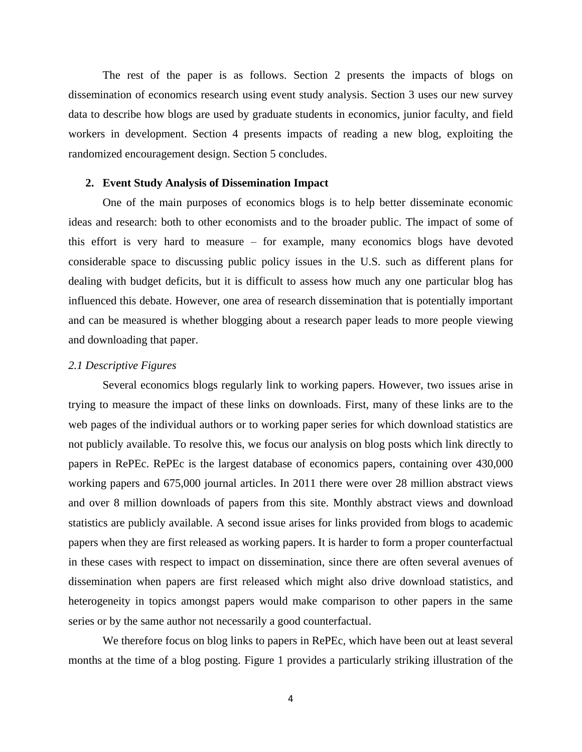The rest of the paper is as follows. Section 2 presents the impacts of blogs on dissemination of economics research using event study analysis. Section 3 uses our new survey data to describe how blogs are used by graduate students in economics, junior faculty, and field workers in development. Section 4 presents impacts of reading a new blog, exploiting the randomized encouragement design. Section 5 concludes.

#### **2. Event Study Analysis of Dissemination Impact**

One of the main purposes of economics blogs is to help better disseminate economic ideas and research: both to other economists and to the broader public. The impact of some of this effort is very hard to measure – for example, many economics blogs have devoted considerable space to discussing public policy issues in the U.S. such as different plans for dealing with budget deficits, but it is difficult to assess how much any one particular blog has influenced this debate. However, one area of research dissemination that is potentially important and can be measured is whether blogging about a research paper leads to more people viewing and downloading that paper.

#### *2.1 Descriptive Figures*

Several economics blogs regularly link to working papers. However, two issues arise in trying to measure the impact of these links on downloads. First, many of these links are to the web pages of the individual authors or to working paper series for which download statistics are not publicly available. To resolve this, we focus our analysis on blog posts which link directly to papers in RePEc. RePEc is the largest database of economics papers, containing over 430,000 working papers and 675,000 journal articles. In 2011 there were over 28 million abstract views and over 8 million downloads of papers from this site. Monthly abstract views and download statistics are publicly available. A second issue arises for links provided from blogs to academic papers when they are first released as working papers. It is harder to form a proper counterfactual in these cases with respect to impact on dissemination, since there are often several avenues of dissemination when papers are first released which might also drive download statistics, and heterogeneity in topics amongst papers would make comparison to other papers in the same series or by the same author not necessarily a good counterfactual.

We therefore focus on blog links to papers in RePEc, which have been out at least several months at the time of a blog posting. Figure 1 provides a particularly striking illustration of the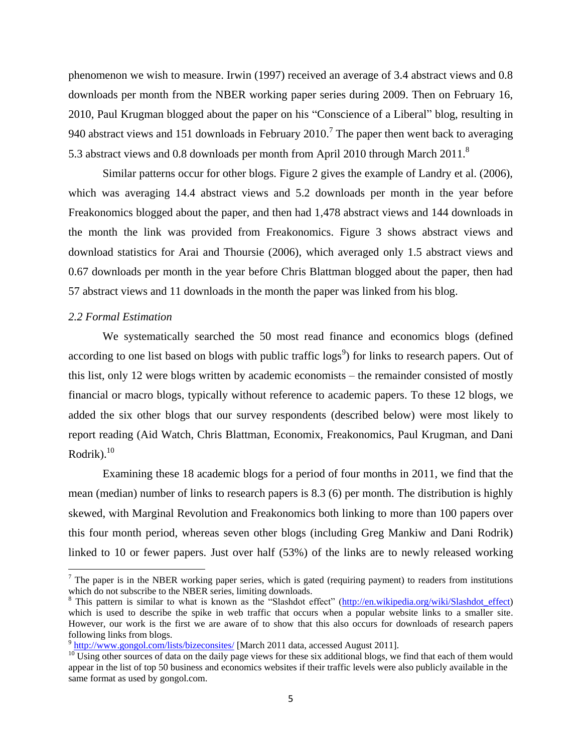phenomenon we wish to measure. Irwin (1997) received an average of 3.4 abstract views and 0.8 downloads per month from the NBER working paper series during 2009. Then on February 16, 2010, Paul Krugman blogged about the paper on his "Conscience of a Liberal" blog, resulting in 940 abstract views and 151 downloads in February 2010.<sup>7</sup> The paper then went back to averaging 5.3 abstract views and 0.8 downloads per month from April 2010 through March 2011.<sup>8</sup>

Similar patterns occur for other blogs. Figure 2 gives the example of Landry et al. (2006), which was averaging 14.4 abstract views and 5.2 downloads per month in the year before Freakonomics blogged about the paper, and then had 1,478 abstract views and 144 downloads in the month the link was provided from Freakonomics. Figure 3 shows abstract views and download statistics for Arai and Thoursie (2006), which averaged only 1.5 abstract views and 0.67 downloads per month in the year before Chris Blattman blogged about the paper, then had 57 abstract views and 11 downloads in the month the paper was linked from his blog.

### *2.2 Formal Estimation*

 $\overline{\phantom{a}}$ 

We systematically searched the 50 most read finance and economics blogs (defined according to one list based on blogs with public traffic  $\log s^9$ ) for links to research papers. Out of this list, only 12 were blogs written by academic economists – the remainder consisted of mostly financial or macro blogs, typically without reference to academic papers. To these 12 blogs, we added the six other blogs that our survey respondents (described below) were most likely to report reading (Aid Watch, Chris Blattman, Economix, Freakonomics, Paul Krugman, and Dani Rodrik). $10$ 

Examining these 18 academic blogs for a period of four months in 2011, we find that the mean (median) number of links to research papers is 8.3 (6) per month. The distribution is highly skewed, with Marginal Revolution and Freakonomics both linking to more than 100 papers over this four month period, whereas seven other blogs (including Greg Mankiw and Dani Rodrik) linked to 10 or fewer papers. Just over half (53%) of the links are to newly released working

 $<sup>7</sup>$  The paper is in the NBER working paper series, which is gated (requiring payment) to readers from institutions</sup> which do not subscribe to the NBER series, limiting downloads.

<sup>&</sup>lt;sup>8</sup> This pattern is similar to what is known as the "Slashdot effect" [\(http://en.wikipedia.org/wiki/Slashdot\\_effect\)](http://en.wikipedia.org/wiki/Slashdot_effect) which is used to describe the spike in web traffic that occurs when a popular website links to a smaller site. However, our work is the first we are aware of to show that this also occurs for downloads of research papers following links from blogs.

<sup>&</sup>lt;sup>9</sup> <http://www.gongol.com/lists/bizeconsites/> [March 2011 data, accessed August 2011].

<sup>&</sup>lt;sup>10</sup> Using other sources of data on the daily page views for these six additional blogs, we find that each of them would appear in the list of top 50 business and economics websites if their traffic levels were also publicly available in the same format as used by gongol.com.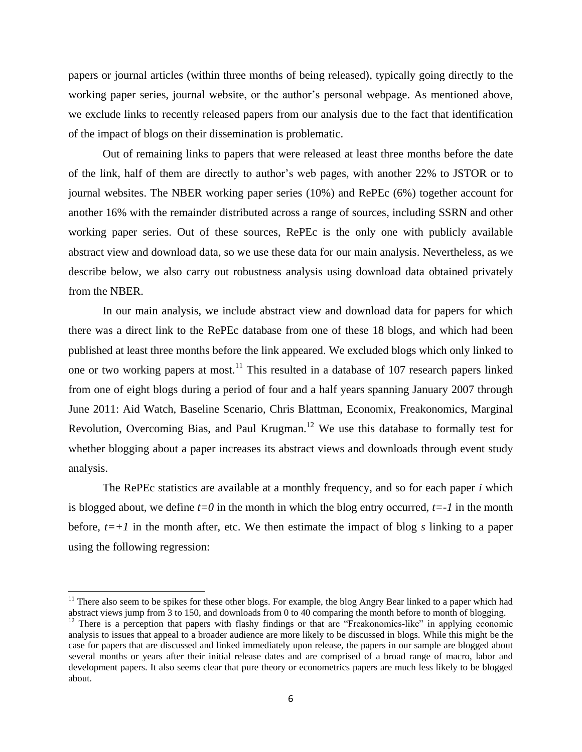papers or journal articles (within three months of being released), typically going directly to the working paper series, journal website, or the author's personal webpage. As mentioned above, we exclude links to recently released papers from our analysis due to the fact that identification of the impact of blogs on their dissemination is problematic.

Out of remaining links to papers that were released at least three months before the date of the link, half of them are directly to author's web pages, with another 22% to JSTOR or to journal websites. The NBER working paper series (10%) and RePEc (6%) together account for another 16% with the remainder distributed across a range of sources, including SSRN and other working paper series. Out of these sources, RePEc is the only one with publicly available abstract view and download data, so we use these data for our main analysis. Nevertheless, as we describe below, we also carry out robustness analysis using download data obtained privately from the NBER.

In our main analysis, we include abstract view and download data for papers for which there was a direct link to the RePEc database from one of these 18 blogs, and which had been published at least three months before the link appeared. We excluded blogs which only linked to one or two working papers at most.<sup>11</sup> This resulted in a database of 107 research papers linked from one of eight blogs during a period of four and a half years spanning January 2007 through June 2011: Aid Watch, Baseline Scenario, Chris Blattman, Economix, Freakonomics, Marginal Revolution, Overcoming Bias, and Paul Krugman.<sup>12</sup> We use this database to formally test for whether blogging about a paper increases its abstract views and downloads through event study analysis.

The RePEc statistics are available at a monthly frequency, and so for each paper *i* which is blogged about, we define  $t=0$  in the month in which the blog entry occurred,  $t=-1$  in the month before,  $t=+1$  in the month after, etc. We then estimate the impact of blog *s* linking to a paper using the following regression:

 $11$  There also seem to be spikes for these other blogs. For example, the blog Angry Bear linked to a paper which had abstract views jump from 3 to 150, and downloads from 0 to 40 comparing the month before to month of blogging.

 $\overline{a}$ 

 $12$  There is a perception that papers with flashy findings or that are "Freakonomics-like" in applying economic analysis to issues that appeal to a broader audience are more likely to be discussed in blogs. While this might be the case for papers that are discussed and linked immediately upon release, the papers in our sample are blogged about several months or years after their initial release dates and are comprised of a broad range of macro, labor and development papers. It also seems clear that pure theory or econometrics papers are much less likely to be blogged about.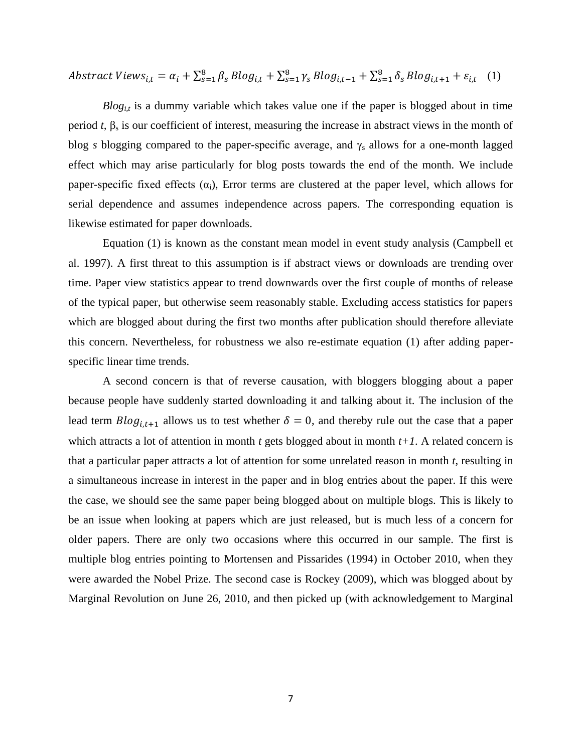$$
Abstract \n
$$
Abstract \n
$$
y_{i,t} = \alpha_i + \sum_{s=1}^{8} \beta_s \n
$$
B \log_{i,t} + \sum_{s=1}^{8} \gamma_s \n
$$
B \log_{i,t-1} + \sum_{s=1}^{8} \delta_s \n
$$
B \log_{i,t+1} + \varepsilon_{i,t} \quad (1)
$$
$$
$$
$$
$$
$$

 $B\log_{1,t}$  is a dummy variable which takes value one if the paper is blogged about in time period *t*,  $\beta_s$  is our coefficient of interest, measuring the increase in abstract views in the month of blog *s* blogging compared to the paper-specific average, and  $\gamma_s$  allows for a one-month lagged effect which may arise particularly for blog posts towards the end of the month. We include paper-specific fixed effects  $(\alpha_i)$ , Error terms are clustered at the paper level, which allows for serial dependence and assumes independence across papers. The corresponding equation is likewise estimated for paper downloads.

Equation (1) is known as the constant mean model in event study analysis (Campbell et al. 1997). A first threat to this assumption is if abstract views or downloads are trending over time. Paper view statistics appear to trend downwards over the first couple of months of release of the typical paper, but otherwise seem reasonably stable. Excluding access statistics for papers which are blogged about during the first two months after publication should therefore alleviate this concern. Nevertheless, for robustness we also re-estimate equation (1) after adding paperspecific linear time trends.

A second concern is that of reverse causation, with bloggers blogging about a paper because people have suddenly started downloading it and talking about it. The inclusion of the lead term  $B\log_{i,t+1}$  allows us to test whether  $\delta = 0$ , and thereby rule out the case that a paper which attracts a lot of attention in month *t* gets blogged about in month  $t+1$ . A related concern is that a particular paper attracts a lot of attention for some unrelated reason in month *t*, resulting in a simultaneous increase in interest in the paper and in blog entries about the paper. If this were the case, we should see the same paper being blogged about on multiple blogs. This is likely to be an issue when looking at papers which are just released, but is much less of a concern for older papers. There are only two occasions where this occurred in our sample. The first is multiple blog entries pointing to Mortensen and Pissarides (1994) in October 2010, when they were awarded the Nobel Prize. The second case is Rockey (2009), which was blogged about by Marginal Revolution on June 26, 2010, and then picked up (with acknowledgement to Marginal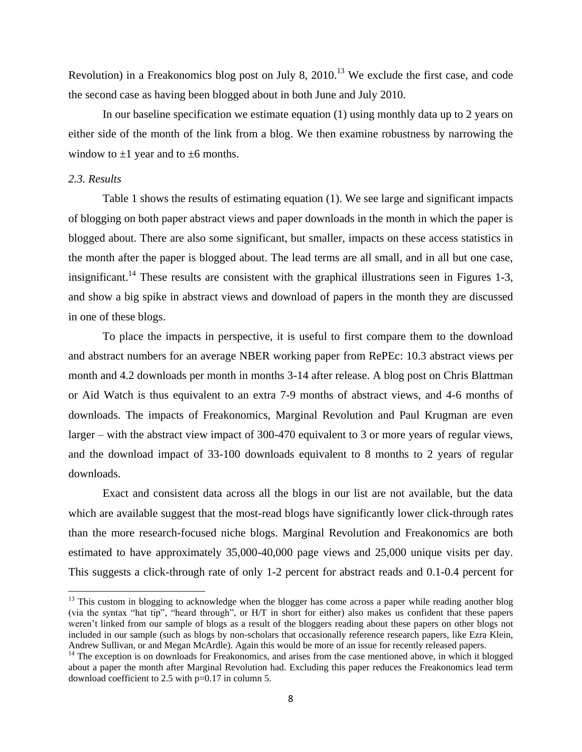Revolution) in a Freakonomics blog post on July 8,  $2010$ <sup>13</sup> We exclude the first case, and code the second case as having been blogged about in both June and July 2010.

In our baseline specification we estimate equation (1) using monthly data up to 2 years on either side of the month of the link from a blog. We then examine robustness by narrowing the window to  $\pm 1$  year and to  $\pm 6$  months.

## *2.3. Results*

 $\overline{a}$ 

Table 1 shows the results of estimating equation (1). We see large and significant impacts of blogging on both paper abstract views and paper downloads in the month in which the paper is blogged about. There are also some significant, but smaller, impacts on these access statistics in the month after the paper is blogged about. The lead terms are all small, and in all but one case, insignificant.<sup>14</sup> These results are consistent with the graphical illustrations seen in Figures 1-3, and show a big spike in abstract views and download of papers in the month they are discussed in one of these blogs.

To place the impacts in perspective, it is useful to first compare them to the download and abstract numbers for an average NBER working paper from RePEc: 10.3 abstract views per month and 4.2 downloads per month in months 3-14 after release. A blog post on Chris Blattman or Aid Watch is thus equivalent to an extra 7-9 months of abstract views, and 4-6 months of downloads. The impacts of Freakonomics, Marginal Revolution and Paul Krugman are even larger – with the abstract view impact of 300-470 equivalent to 3 or more years of regular views, and the download impact of 33-100 downloads equivalent to 8 months to 2 years of regular downloads.

Exact and consistent data across all the blogs in our list are not available, but the data which are available suggest that the most-read blogs have significantly lower click-through rates than the more research-focused niche blogs. Marginal Revolution and Freakonomics are both estimated to have approximately 35,000-40,000 page views and 25,000 unique visits per day. This suggests a click-through rate of only 1-2 percent for abstract reads and 0.1-0.4 percent for

<sup>&</sup>lt;sup>13</sup> This custom in blogging to acknowledge when the blogger has come across a paper while reading another blog (via the syntax "hat tip", "heard through", or H/T in short for either) also makes us confident that these papers weren't linked from our sample of blogs as a result of the bloggers reading about these papers on other blogs not included in our sample (such as blogs by non-scholars that occasionally reference research papers, like Ezra Klein, Andrew Sullivan, or and Megan McArdle). Again this would be more of an issue for recently released papers.

<sup>&</sup>lt;sup>14</sup> The exception is on downloads for Freakonomics, and arises from the case mentioned above, in which it blogged about a paper the month after Marginal Revolution had. Excluding this paper reduces the Freakonomics lead term download coefficient to 2.5 with p=0.17 in column 5.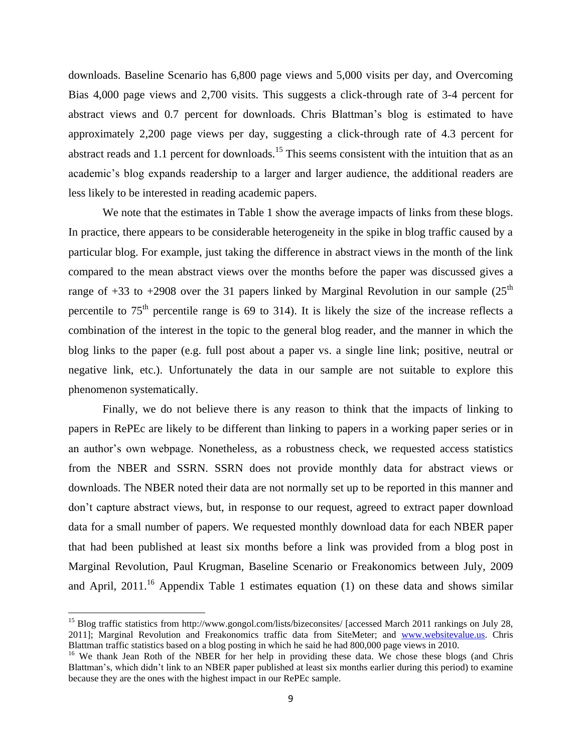downloads. Baseline Scenario has 6,800 page views and 5,000 visits per day, and Overcoming Bias 4,000 page views and 2,700 visits. This suggests a click-through rate of 3-4 percent for abstract views and 0.7 percent for downloads. Chris Blattman's blog is estimated to have approximately 2,200 page views per day, suggesting a click-through rate of 4.3 percent for abstract reads and 1.1 percent for downloads.<sup>15</sup> This seems consistent with the intuition that as an academic's blog expands readership to a larger and larger audience, the additional readers are less likely to be interested in reading academic papers.

We note that the estimates in Table 1 show the average impacts of links from these blogs. In practice, there appears to be considerable heterogeneity in the spike in blog traffic caused by a particular blog. For example, just taking the difference in abstract views in the month of the link compared to the mean abstract views over the months before the paper was discussed gives a range of  $+33$  to  $+2908$  over the 31 papers linked by Marginal Revolution in our sample (25<sup>th</sup>) percentile to  $75<sup>th</sup>$  percentile range is 69 to 314). It is likely the size of the increase reflects a combination of the interest in the topic to the general blog reader, and the manner in which the blog links to the paper (e.g. full post about a paper vs. a single line link; positive, neutral or negative link, etc.). Unfortunately the data in our sample are not suitable to explore this phenomenon systematically.

Finally, we do not believe there is any reason to think that the impacts of linking to papers in RePEc are likely to be different than linking to papers in a working paper series or in an author's own webpage. Nonetheless, as a robustness check, we requested access statistics from the NBER and SSRN. SSRN does not provide monthly data for abstract views or downloads. The NBER noted their data are not normally set up to be reported in this manner and don't capture abstract views, but, in response to our request, agreed to extract paper download data for a small number of papers. We requested monthly download data for each NBER paper that had been published at least six months before a link was provided from a blog post in Marginal Revolution, Paul Krugman, Baseline Scenario or Freakonomics between July, 2009 and April, 2011.<sup>16</sup> Appendix Table 1 estimates equation (1) on these data and shows similar

 $\overline{\phantom{a}}$ 

<sup>&</sup>lt;sup>15</sup> Blog traffic statistics from http://www.gongol.com/lists/bizeconsites/ [accessed March 2011 rankings on July 28, 2011]; Marginal Revolution and Freakonomics traffic data from SiteMeter; and [www.websitevalue.us.](http://www.websitevalue.us/) Chris Blattman traffic statistics based on a blog posting in which he said he had 800,000 page views in 2010.

<sup>&</sup>lt;sup>16</sup> We thank Jean Roth of the NBER for her help in providing these data. We chose these blogs (and Chris Blattman's, which didn't link to an NBER paper published at least six months earlier during this period) to examine because they are the ones with the highest impact in our RePEc sample.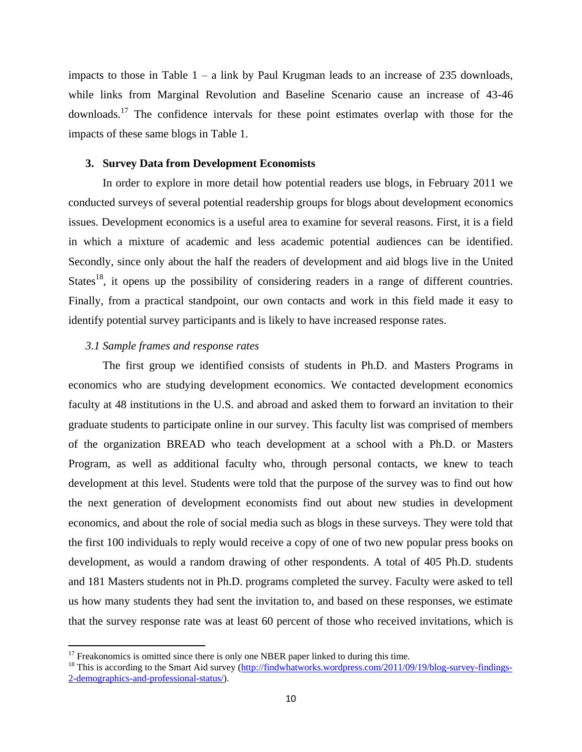impacts to those in Table  $1 - a$  link by Paul Krugman leads to an increase of 235 downloads, while links from Marginal Revolution and Baseline Scenario cause an increase of 43-46 downloads.<sup>17</sup> The confidence intervals for these point estimates overlap with those for the impacts of these same blogs in Table 1.

### **3. Survey Data from Development Economists**

In order to explore in more detail how potential readers use blogs, in February 2011 we conducted surveys of several potential readership groups for blogs about development economics issues. Development economics is a useful area to examine for several reasons. First, it is a field in which a mixture of academic and less academic potential audiences can be identified. Secondly, since only about the half the readers of development and aid blogs live in the United States<sup>18</sup>, it opens up the possibility of considering readers in a range of different countries. Finally, from a practical standpoint, our own contacts and work in this field made it easy to identify potential survey participants and is likely to have increased response rates.

### *3.1 Sample frames and response rates*

 $\overline{\phantom{a}}$ 

The first group we identified consists of students in Ph.D. and Masters Programs in economics who are studying development economics. We contacted development economics faculty at 48 institutions in the U.S. and abroad and asked them to forward an invitation to their graduate students to participate online in our survey. This faculty list was comprised of members of the organization BREAD who teach development at a school with a Ph.D. or Masters Program, as well as additional faculty who, through personal contacts, we knew to teach development at this level. Students were told that the purpose of the survey was to find out how the next generation of development economists find out about new studies in development economics, and about the role of social media such as blogs in these surveys. They were told that the first 100 individuals to reply would receive a copy of one of two new popular press books on development, as would a random drawing of other respondents. A total of 405 Ph.D. students and 181 Masters students not in Ph.D. programs completed the survey. Faculty were asked to tell us how many students they had sent the invitation to, and based on these responses, we estimate that the survey response rate was at least 60 percent of those who received invitations, which is

 $17$  Freakonomics is omitted since there is only one NBER paper linked to during this time.

 $18$  This is according to the Smart Aid survey [\(http://findwhatworks.wordpress.com/2011/09/19/blog-survey-findings-](http://findwhatworks.wordpress.com/2011/09/19/blog-survey-findings-2-demographics-and-professional-status/)[2-demographics-and-professional-status/\)](http://findwhatworks.wordpress.com/2011/09/19/blog-survey-findings-2-demographics-and-professional-status/).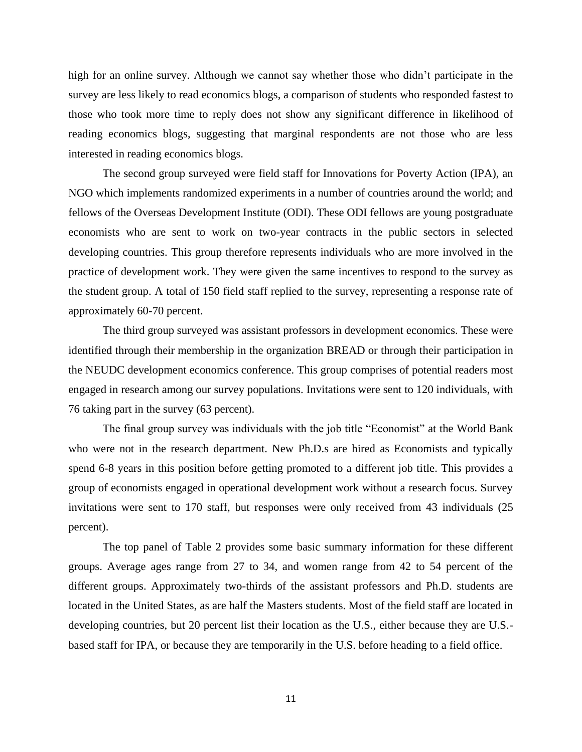high for an online survey. Although we cannot say whether those who didn't participate in the survey are less likely to read economics blogs, a comparison of students who responded fastest to those who took more time to reply does not show any significant difference in likelihood of reading economics blogs, suggesting that marginal respondents are not those who are less interested in reading economics blogs.

The second group surveyed were field staff for Innovations for Poverty Action (IPA), an NGO which implements randomized experiments in a number of countries around the world; and fellows of the Overseas Development Institute (ODI). These ODI fellows are young postgraduate economists who are sent to work on two-year contracts in the public sectors in selected developing countries. This group therefore represents individuals who are more involved in the practice of development work. They were given the same incentives to respond to the survey as the student group. A total of 150 field staff replied to the survey, representing a response rate of approximately 60-70 percent.

The third group surveyed was assistant professors in development economics. These were identified through their membership in the organization BREAD or through their participation in the NEUDC development economics conference. This group comprises of potential readers most engaged in research among our survey populations. Invitations were sent to 120 individuals, with 76 taking part in the survey (63 percent).

The final group survey was individuals with the job title "Economist" at the World Bank who were not in the research department. New Ph.D.s are hired as Economists and typically spend 6-8 years in this position before getting promoted to a different job title. This provides a group of economists engaged in operational development work without a research focus. Survey invitations were sent to 170 staff, but responses were only received from 43 individuals (25 percent).

The top panel of Table 2 provides some basic summary information for these different groups. Average ages range from 27 to 34, and women range from 42 to 54 percent of the different groups. Approximately two-thirds of the assistant professors and Ph.D. students are located in the United States, as are half the Masters students. Most of the field staff are located in developing countries, but 20 percent list their location as the U.S., either because they are U.S. based staff for IPA, or because they are temporarily in the U.S. before heading to a field office.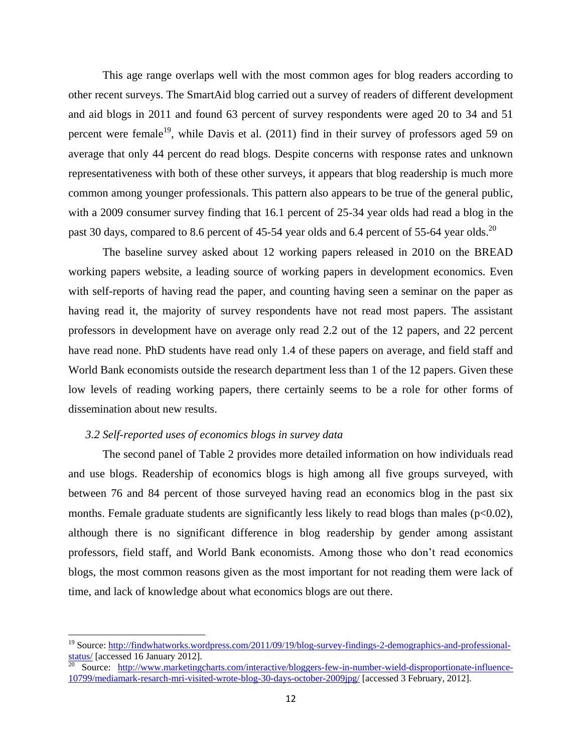This age range overlaps well with the most common ages for blog readers according to other recent surveys. The SmartAid blog carried out a survey of readers of different development and aid blogs in 2011 and found 63 percent of survey respondents were aged 20 to 34 and 51 percent were female<sup>19</sup>, while Davis et al.  $(2011)$  find in their survey of professors aged 59 on average that only 44 percent do read blogs. Despite concerns with response rates and unknown representativeness with both of these other surveys, it appears that blog readership is much more common among younger professionals. This pattern also appears to be true of the general public, with a 2009 consumer survey finding that 16.1 percent of 25-34 year olds had read a blog in the past 30 days, compared to 8.6 percent of 45-54 year olds and 6.4 percent of 55-64 year olds.<sup>20</sup>

The baseline survey asked about 12 working papers released in 2010 on the BREAD working papers website, a leading source of working papers in development economics. Even with self-reports of having read the paper, and counting having seen a seminar on the paper as having read it, the majority of survey respondents have not read most papers. The assistant professors in development have on average only read 2.2 out of the 12 papers, and 22 percent have read none. PhD students have read only 1.4 of these papers on average, and field staff and World Bank economists outside the research department less than 1 of the 12 papers. Given these low levels of reading working papers, there certainly seems to be a role for other forms of dissemination about new results.

## *3.2 Self-reported uses of economics blogs in survey data*

 $\overline{\phantom{a}}$ 

The second panel of Table 2 provides more detailed information on how individuals read and use blogs. Readership of economics blogs is high among all five groups surveyed, with between 76 and 84 percent of those surveyed having read an economics blog in the past six months. Female graduate students are significantly less likely to read blogs than males ( $p<0.02$ ), although there is no significant difference in blog readership by gender among assistant professors, field staff, and World Bank economists. Among those who don't read economics blogs, the most common reasons given as the most important for not reading them were lack of time, and lack of knowledge about what economics blogs are out there.

<sup>&</sup>lt;sup>19</sup> Source: [http://findwhatworks.wordpress.com/2011/09/19/blog-survey-findings-2-demographics-and-professional](http://findwhatworks.wordpress.com/2011/09/19/blog-survey-findings-2-demographics-and-professional-status/)[status/](http://findwhatworks.wordpress.com/2011/09/19/blog-survey-findings-2-demographics-and-professional-status/) [accessed 16 January 2012].

<sup>&</sup>lt;sup>20</sup> Source: [http://www.marketingcharts.com/interactive/bloggers-few-in-number-wield-disproportionate-influence-](http://www.marketingcharts.com/interactive/bloggers-few-in-number-wield-disproportionate-influence-10799/mediamark-resarch-mri-visited-wrote-blog-30-days-october-2009jpg/)[10799/mediamark-resarch-mri-visited-wrote-blog-30-days-october-2009jpg/](http://www.marketingcharts.com/interactive/bloggers-few-in-number-wield-disproportionate-influence-10799/mediamark-resarch-mri-visited-wrote-blog-30-days-october-2009jpg/) [accessed 3 February, 2012].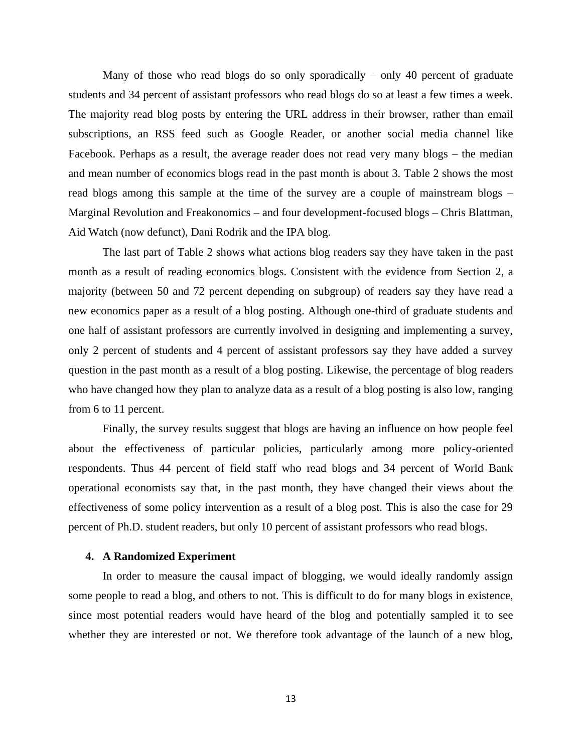Many of those who read blogs do so only sporadically – only 40 percent of graduate students and 34 percent of assistant professors who read blogs do so at least a few times a week. The majority read blog posts by entering the URL address in their browser, rather than email subscriptions, an RSS feed such as Google Reader, or another social media channel like Facebook. Perhaps as a result, the average reader does not read very many blogs – the median and mean number of economics blogs read in the past month is about 3. Table 2 shows the most read blogs among this sample at the time of the survey are a couple of mainstream blogs – Marginal Revolution and Freakonomics – and four development-focused blogs – Chris Blattman, Aid Watch (now defunct), Dani Rodrik and the IPA blog.

The last part of Table 2 shows what actions blog readers say they have taken in the past month as a result of reading economics blogs. Consistent with the evidence from Section 2, a majority (between 50 and 72 percent depending on subgroup) of readers say they have read a new economics paper as a result of a blog posting. Although one-third of graduate students and one half of assistant professors are currently involved in designing and implementing a survey, only 2 percent of students and 4 percent of assistant professors say they have added a survey question in the past month as a result of a blog posting. Likewise, the percentage of blog readers who have changed how they plan to analyze data as a result of a blog posting is also low, ranging from 6 to 11 percent.

Finally, the survey results suggest that blogs are having an influence on how people feel about the effectiveness of particular policies, particularly among more policy-oriented respondents. Thus 44 percent of field staff who read blogs and 34 percent of World Bank operational economists say that, in the past month, they have changed their views about the effectiveness of some policy intervention as a result of a blog post. This is also the case for 29 percent of Ph.D. student readers, but only 10 percent of assistant professors who read blogs.

#### **4. A Randomized Experiment**

In order to measure the causal impact of blogging, we would ideally randomly assign some people to read a blog, and others to not. This is difficult to do for many blogs in existence, since most potential readers would have heard of the blog and potentially sampled it to see whether they are interested or not. We therefore took advantage of the launch of a new blog,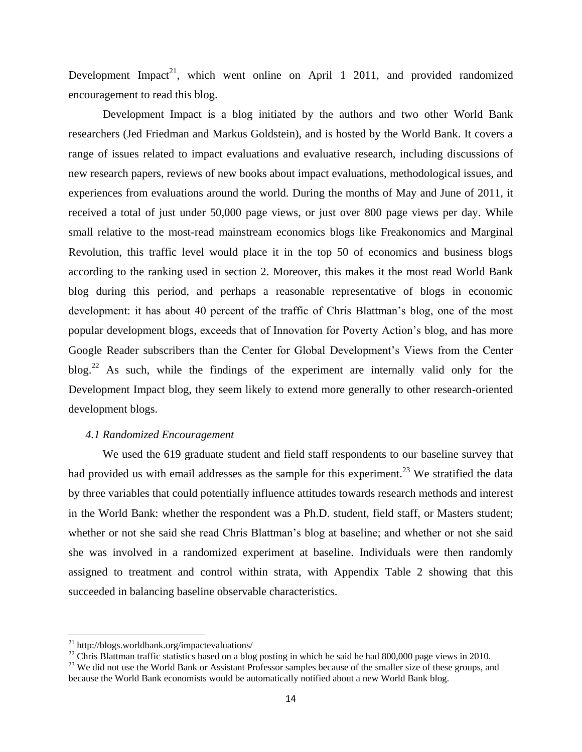Development Impact<sup>21</sup>, which went online on April 1 2011, and provided randomized encouragement to read this blog.

Development Impact is a blog initiated by the authors and two other World Bank researchers (Jed Friedman and Markus Goldstein), and is hosted by the World Bank. It covers a range of issues related to impact evaluations and evaluative research, including discussions of new research papers, reviews of new books about impact evaluations, methodological issues, and experiences from evaluations around the world. During the months of May and June of 2011, it received a total of just under 50,000 page views, or just over 800 page views per day. While small relative to the most-read mainstream economics blogs like Freakonomics and Marginal Revolution, this traffic level would place it in the top 50 of economics and business blogs according to the ranking used in section 2. Moreover, this makes it the most read World Bank blog during this period, and perhaps a reasonable representative of blogs in economic development: it has about 40 percent of the traffic of Chris Blattman's blog, one of the most popular development blogs, exceeds that of Innovation for Poverty Action's blog, and has more Google Reader subscribers than the Center for Global Development's Views from the Center  $b\log^{22}$  As such, while the findings of the experiment are internally valid only for the Development Impact blog, they seem likely to extend more generally to other research-oriented development blogs.

## *4.1 Randomized Encouragement*

We used the 619 graduate student and field staff respondents to our baseline survey that had provided us with email addresses as the sample for this experiment.<sup>23</sup> We stratified the data by three variables that could potentially influence attitudes towards research methods and interest in the World Bank: whether the respondent was a Ph.D. student, field staff, or Masters student; whether or not she said she read Chris Blattman's blog at baseline; and whether or not she said she was involved in a randomized experiment at baseline. Individuals were then randomly assigned to treatment and control within strata, with Appendix Table 2 showing that this succeeded in balancing baseline observable characteristics.

 $\overline{\phantom{a}}$ 

<sup>21</sup> http://blogs.worldbank.org/impactevaluations/

<sup>&</sup>lt;sup>22</sup> Chris Blattman traffic statistics based on a blog posting in which he said he had 800,000 page views in 2010.

<sup>&</sup>lt;sup>23</sup> We did not use the World Bank or Assistant Professor samples because of the smaller size of these groups, and because the World Bank economists would be automatically notified about a new World Bank blog.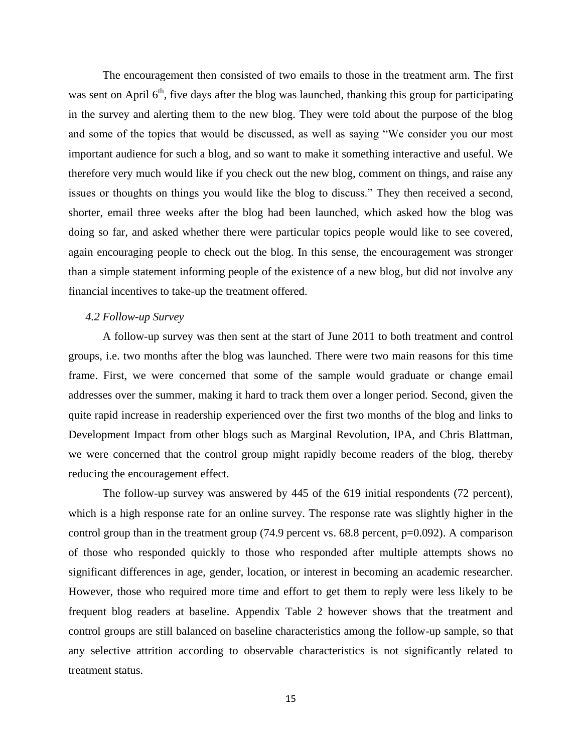The encouragement then consisted of two emails to those in the treatment arm. The first was sent on April  $6<sup>th</sup>$ , five days after the blog was launched, thanking this group for participating in the survey and alerting them to the new blog. They were told about the purpose of the blog and some of the topics that would be discussed, as well as saying "We consider you our most important audience for such a blog, and so want to make it something interactive and useful. We therefore very much would like if you check out the new blog, comment on things, and raise any issues or thoughts on things you would like the blog to discuss." They then received a second, shorter, email three weeks after the blog had been launched, which asked how the blog was doing so far, and asked whether there were particular topics people would like to see covered, again encouraging people to check out the blog. In this sense, the encouragement was stronger than a simple statement informing people of the existence of a new blog, but did not involve any financial incentives to take-up the treatment offered.

#### *4.2 Follow-up Survey*

A follow-up survey was then sent at the start of June 2011 to both treatment and control groups, i.e. two months after the blog was launched. There were two main reasons for this time frame. First, we were concerned that some of the sample would graduate or change email addresses over the summer, making it hard to track them over a longer period. Second, given the quite rapid increase in readership experienced over the first two months of the blog and links to Development Impact from other blogs such as Marginal Revolution, IPA, and Chris Blattman, we were concerned that the control group might rapidly become readers of the blog, thereby reducing the encouragement effect.

The follow-up survey was answered by 445 of the 619 initial respondents (72 percent), which is a high response rate for an online survey. The response rate was slightly higher in the control group than in the treatment group  $(74.9 \text{ percent vs. } 68.8 \text{ percent, } p=0.092)$ . A comparison of those who responded quickly to those who responded after multiple attempts shows no significant differences in age, gender, location, or interest in becoming an academic researcher. However, those who required more time and effort to get them to reply were less likely to be frequent blog readers at baseline. Appendix Table 2 however shows that the treatment and control groups are still balanced on baseline characteristics among the follow-up sample, so that any selective attrition according to observable characteristics is not significantly related to treatment status.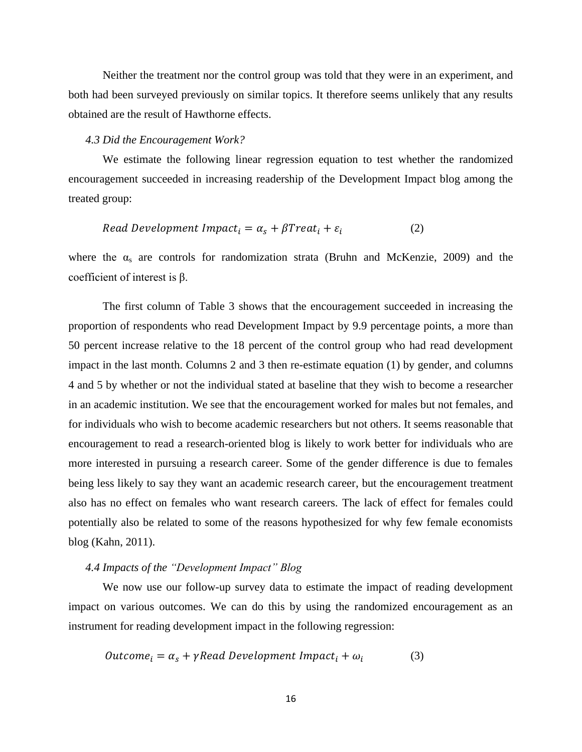Neither the treatment nor the control group was told that they were in an experiment, and both had been surveyed previously on similar topics. It therefore seems unlikely that any results obtained are the result of Hawthorne effects.

#### *4.3 Did the Encouragement Work?*

We estimate the following linear regression equation to test whether the randomized encouragement succeeded in increasing readership of the Development Impact blog among the treated group:

$$
Read Development Impact_i = \alpha_s + \beta Treat_i + \varepsilon_i \tag{2}
$$

where the  $\alpha_s$  are controls for randomization strata (Bruhn and McKenzie, 2009) and the coefficient of interest is β.

The first column of Table 3 shows that the encouragement succeeded in increasing the proportion of respondents who read Development Impact by 9.9 percentage points, a more than 50 percent increase relative to the 18 percent of the control group who had read development impact in the last month. Columns 2 and 3 then re-estimate equation (1) by gender, and columns 4 and 5 by whether or not the individual stated at baseline that they wish to become a researcher in an academic institution. We see that the encouragement worked for males but not females, and for individuals who wish to become academic researchers but not others. It seems reasonable that encouragement to read a research-oriented blog is likely to work better for individuals who are more interested in pursuing a research career. Some of the gender difference is due to females being less likely to say they want an academic research career, but the encouragement treatment also has no effect on females who want research careers. The lack of effect for females could potentially also be related to some of the reasons hypothesized for why few female economists blog (Kahn, 2011).

#### *4.4 Impacts of the "Development Impact" Blog*

We now use our follow-up survey data to estimate the impact of reading development impact on various outcomes. We can do this by using the randomized encouragement as an instrument for reading development impact in the following regression:

$$
Outcome_i = \alpha_s + \gamma Read\ Development\ Impact_i + \omega_i \tag{3}
$$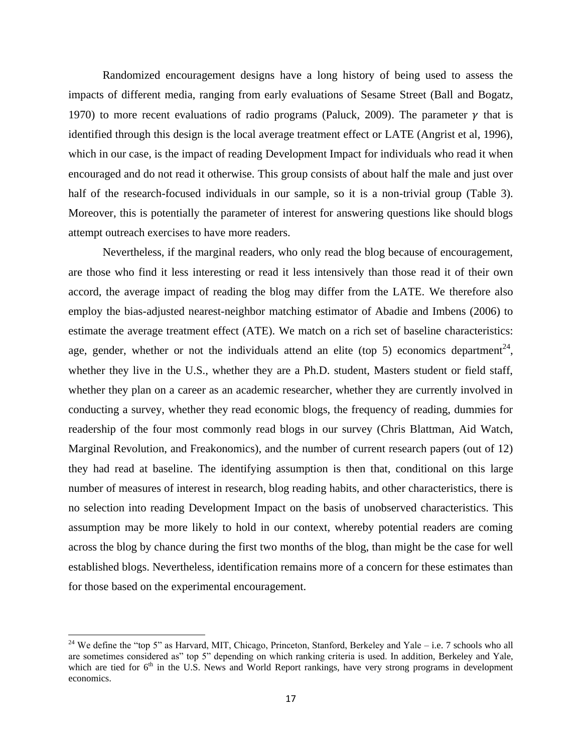Randomized encouragement designs have a long history of being used to assess the impacts of different media, ranging from early evaluations of Sesame Street (Ball and Bogatz, 1970) to more recent evaluations of radio programs (Paluck, 2009). The parameter  $\gamma$  that is identified through this design is the local average treatment effect or LATE (Angrist et al, 1996), which in our case, is the impact of reading Development Impact for individuals who read it when encouraged and do not read it otherwise. This group consists of about half the male and just over half of the research-focused individuals in our sample, so it is a non-trivial group (Table 3). Moreover, this is potentially the parameter of interest for answering questions like should blogs attempt outreach exercises to have more readers.

Nevertheless, if the marginal readers, who only read the blog because of encouragement, are those who find it less interesting or read it less intensively than those read it of their own accord, the average impact of reading the blog may differ from the LATE. We therefore also employ the bias-adjusted nearest-neighbor matching estimator of Abadie and Imbens (2006) to estimate the average treatment effect (ATE). We match on a rich set of baseline characteristics: age, gender, whether or not the individuals attend an elite (top 5) economics department<sup>24</sup>, whether they live in the U.S., whether they are a Ph.D. student, Masters student or field staff, whether they plan on a career as an academic researcher, whether they are currently involved in conducting a survey, whether they read economic blogs, the frequency of reading, dummies for readership of the four most commonly read blogs in our survey (Chris Blattman, Aid Watch, Marginal Revolution, and Freakonomics), and the number of current research papers (out of 12) they had read at baseline. The identifying assumption is then that, conditional on this large number of measures of interest in research, blog reading habits, and other characteristics, there is no selection into reading Development Impact on the basis of unobserved characteristics. This assumption may be more likely to hold in our context, whereby potential readers are coming across the blog by chance during the first two months of the blog, than might be the case for well established blogs. Nevertheless, identification remains more of a concern for these estimates than for those based on the experimental encouragement.

 $\overline{\phantom{a}}$ 

<sup>&</sup>lt;sup>24</sup> We define the "top 5" as Harvard, MIT, Chicago, Princeton, Stanford, Berkeley and Yale – i.e. 7 schools who all are sometimes considered as" top 5" depending on which ranking criteria is used. In addition, Berkeley and Yale, which are tied for 6<sup>th</sup> in the U.S. News and World Report rankings, have very strong programs in development economics.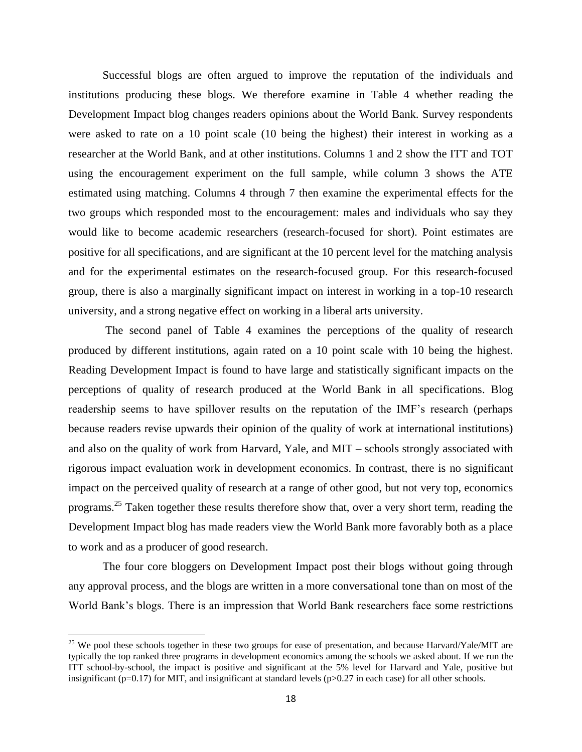Successful blogs are often argued to improve the reputation of the individuals and institutions producing these blogs. We therefore examine in Table 4 whether reading the Development Impact blog changes readers opinions about the World Bank. Survey respondents were asked to rate on a 10 point scale (10 being the highest) their interest in working as a researcher at the World Bank, and at other institutions. Columns 1 and 2 show the ITT and TOT using the encouragement experiment on the full sample, while column 3 shows the ATE estimated using matching. Columns 4 through 7 then examine the experimental effects for the two groups which responded most to the encouragement: males and individuals who say they would like to become academic researchers (research-focused for short). Point estimates are positive for all specifications, and are significant at the 10 percent level for the matching analysis and for the experimental estimates on the research-focused group. For this research-focused group, there is also a marginally significant impact on interest in working in a top-10 research university, and a strong negative effect on working in a liberal arts university.

The second panel of Table 4 examines the perceptions of the quality of research produced by different institutions, again rated on a 10 point scale with 10 being the highest. Reading Development Impact is found to have large and statistically significant impacts on the perceptions of quality of research produced at the World Bank in all specifications. Blog readership seems to have spillover results on the reputation of the IMF's research (perhaps because readers revise upwards their opinion of the quality of work at international institutions) and also on the quality of work from Harvard, Yale, and MIT – schools strongly associated with rigorous impact evaluation work in development economics. In contrast, there is no significant impact on the perceived quality of research at a range of other good, but not very top, economics programs.<sup>25</sup> Taken together these results therefore show that, over a very short term, reading the Development Impact blog has made readers view the World Bank more favorably both as a place to work and as a producer of good research.

The four core bloggers on Development Impact post their blogs without going through any approval process, and the blogs are written in a more conversational tone than on most of the World Bank's blogs. There is an impression that World Bank researchers face some restrictions

 $\overline{\phantom{a}}$ 

<sup>&</sup>lt;sup>25</sup> We pool these schools together in these two groups for ease of presentation, and because Harvard/Yale/MIT are typically the top ranked three programs in development economics among the schools we asked about. If we run the ITT school-by-school, the impact is positive and significant at the 5% level for Harvard and Yale, positive but insignificant ( $p=0.17$ ) for MIT, and insignificant at standard levels ( $p>0.27$  in each case) for all other schools.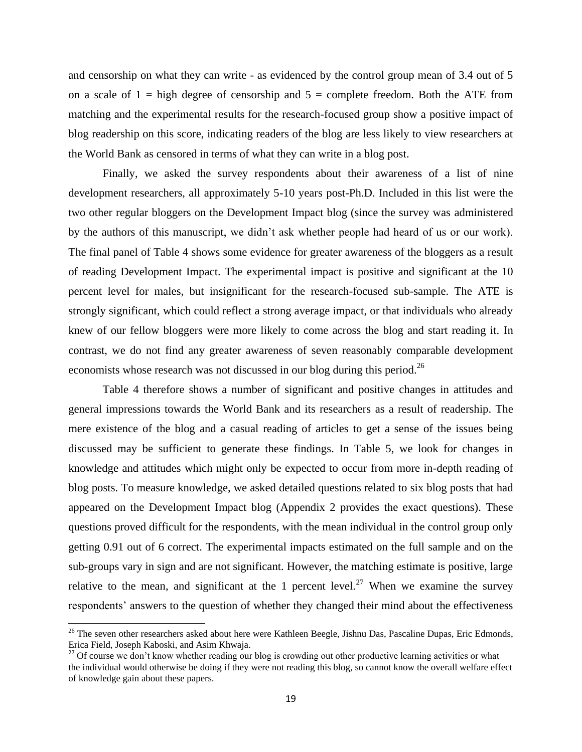and censorship on what they can write - as evidenced by the control group mean of 3.4 out of 5 on a scale of  $1 =$  high degree of censorship and  $5 =$  complete freedom. Both the ATE from matching and the experimental results for the research-focused group show a positive impact of blog readership on this score, indicating readers of the blog are less likely to view researchers at the World Bank as censored in terms of what they can write in a blog post.

Finally, we asked the survey respondents about their awareness of a list of nine development researchers, all approximately 5-10 years post-Ph.D. Included in this list were the two other regular bloggers on the Development Impact blog (since the survey was administered by the authors of this manuscript, we didn't ask whether people had heard of us or our work). The final panel of Table 4 shows some evidence for greater awareness of the bloggers as a result of reading Development Impact. The experimental impact is positive and significant at the 10 percent level for males, but insignificant for the research-focused sub-sample. The ATE is strongly significant, which could reflect a strong average impact, or that individuals who already knew of our fellow bloggers were more likely to come across the blog and start reading it. In contrast, we do not find any greater awareness of seven reasonably comparable development economists whose research was not discussed in our blog during this period.<sup>26</sup>

Table 4 therefore shows a number of significant and positive changes in attitudes and general impressions towards the World Bank and its researchers as a result of readership. The mere existence of the blog and a casual reading of articles to get a sense of the issues being discussed may be sufficient to generate these findings. In Table 5, we look for changes in knowledge and attitudes which might only be expected to occur from more in-depth reading of blog posts. To measure knowledge, we asked detailed questions related to six blog posts that had appeared on the Development Impact blog (Appendix 2 provides the exact questions). These questions proved difficult for the respondents, with the mean individual in the control group only getting 0.91 out of 6 correct. The experimental impacts estimated on the full sample and on the sub-groups vary in sign and are not significant. However, the matching estimate is positive, large relative to the mean, and significant at the 1 percent level.<sup>27</sup> When we examine the survey respondents' answers to the question of whether they changed their mind about the effectiveness

l

<sup>&</sup>lt;sup>26</sup> The seven other researchers asked about here were Kathleen Beegle, Jishnu Das, Pascaline Dupas, Eric Edmonds, Erica Field, Joseph Kaboski, and Asim Khwaja.

<sup>&</sup>lt;sup>27</sup> Of course we don't know whether reading our blog is crowding out other productive learning activities or what the individual would otherwise be doing if they were not reading this blog, so cannot know the overall welfare effect of knowledge gain about these papers.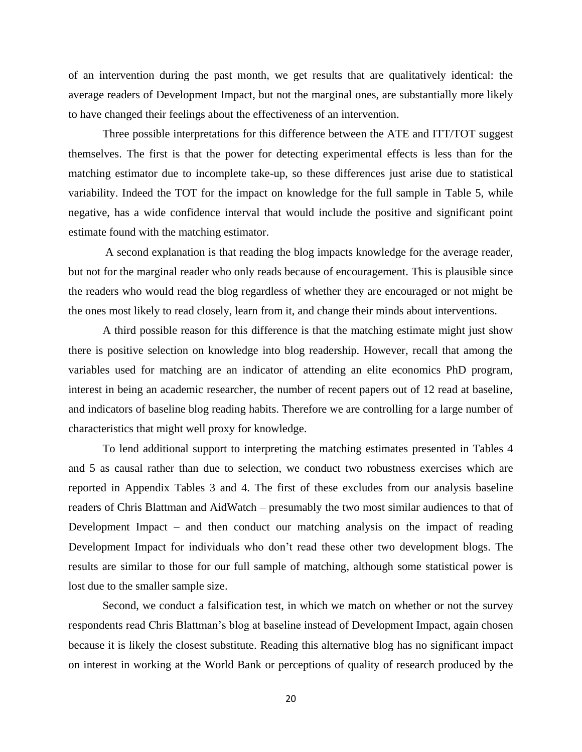of an intervention during the past month, we get results that are qualitatively identical: the average readers of Development Impact, but not the marginal ones, are substantially more likely to have changed their feelings about the effectiveness of an intervention.

Three possible interpretations for this difference between the ATE and ITT/TOT suggest themselves. The first is that the power for detecting experimental effects is less than for the matching estimator due to incomplete take-up, so these differences just arise due to statistical variability. Indeed the TOT for the impact on knowledge for the full sample in Table 5, while negative, has a wide confidence interval that would include the positive and significant point estimate found with the matching estimator.

A second explanation is that reading the blog impacts knowledge for the average reader, but not for the marginal reader who only reads because of encouragement. This is plausible since the readers who would read the blog regardless of whether they are encouraged or not might be the ones most likely to read closely, learn from it, and change their minds about interventions.

A third possible reason for this difference is that the matching estimate might just show there is positive selection on knowledge into blog readership. However, recall that among the variables used for matching are an indicator of attending an elite economics PhD program, interest in being an academic researcher, the number of recent papers out of 12 read at baseline, and indicators of baseline blog reading habits. Therefore we are controlling for a large number of characteristics that might well proxy for knowledge.

To lend additional support to interpreting the matching estimates presented in Tables 4 and 5 as causal rather than due to selection, we conduct two robustness exercises which are reported in Appendix Tables 3 and 4. The first of these excludes from our analysis baseline readers of Chris Blattman and AidWatch – presumably the two most similar audiences to that of Development Impact – and then conduct our matching analysis on the impact of reading Development Impact for individuals who don't read these other two development blogs. The results are similar to those for our full sample of matching, although some statistical power is lost due to the smaller sample size.

Second, we conduct a falsification test, in which we match on whether or not the survey respondents read Chris Blattman's blog at baseline instead of Development Impact, again chosen because it is likely the closest substitute. Reading this alternative blog has no significant impact on interest in working at the World Bank or perceptions of quality of research produced by the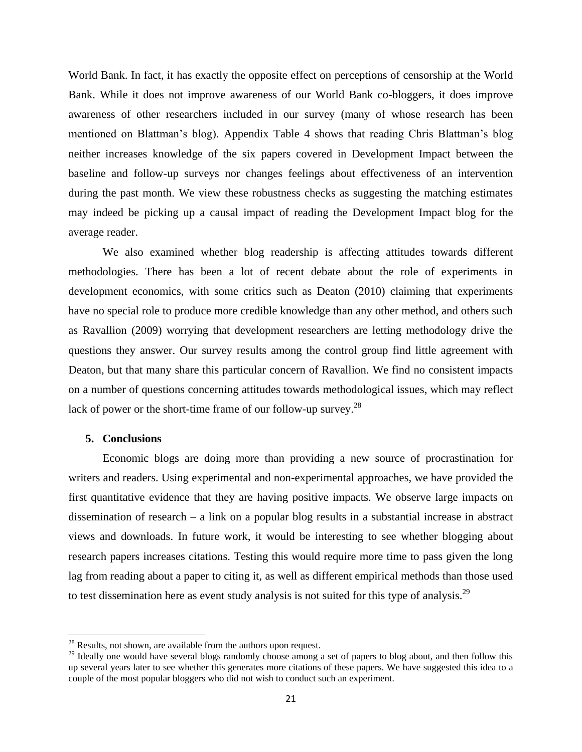World Bank. In fact, it has exactly the opposite effect on perceptions of censorship at the World Bank. While it does not improve awareness of our World Bank co-bloggers, it does improve awareness of other researchers included in our survey (many of whose research has been mentioned on Blattman's blog). Appendix Table 4 shows that reading Chris Blattman's blog neither increases knowledge of the six papers covered in Development Impact between the baseline and follow-up surveys nor changes feelings about effectiveness of an intervention during the past month. We view these robustness checks as suggesting the matching estimates may indeed be picking up a causal impact of reading the Development Impact blog for the average reader.

We also examined whether blog readership is affecting attitudes towards different methodologies. There has been a lot of recent debate about the role of experiments in development economics, with some critics such as Deaton (2010) claiming that experiments have no special role to produce more credible knowledge than any other method, and others such as Ravallion (2009) worrying that development researchers are letting methodology drive the questions they answer. Our survey results among the control group find little agreement with Deaton, but that many share this particular concern of Ravallion. We find no consistent impacts on a number of questions concerning attitudes towards methodological issues, which may reflect lack of power or the short-time frame of our follow-up survey.<sup>28</sup>

### **5. Conclusions**

 $\overline{\phantom{a}}$ 

Economic blogs are doing more than providing a new source of procrastination for writers and readers. Using experimental and non-experimental approaches, we have provided the first quantitative evidence that they are having positive impacts. We observe large impacts on dissemination of research – a link on a popular blog results in a substantial increase in abstract views and downloads. In future work, it would be interesting to see whether blogging about research papers increases citations. Testing this would require more time to pass given the long lag from reading about a paper to citing it, as well as different empirical methods than those used to test dissemination here as event study analysis is not suited for this type of analysis.<sup>29</sup>

 $28$  Results, not shown, are available from the authors upon request.

<sup>&</sup>lt;sup>29</sup> Ideally one would have several blogs randomly choose among a set of papers to blog about, and then follow this up several years later to see whether this generates more citations of these papers. We have suggested this idea to a couple of the most popular bloggers who did not wish to conduct such an experiment.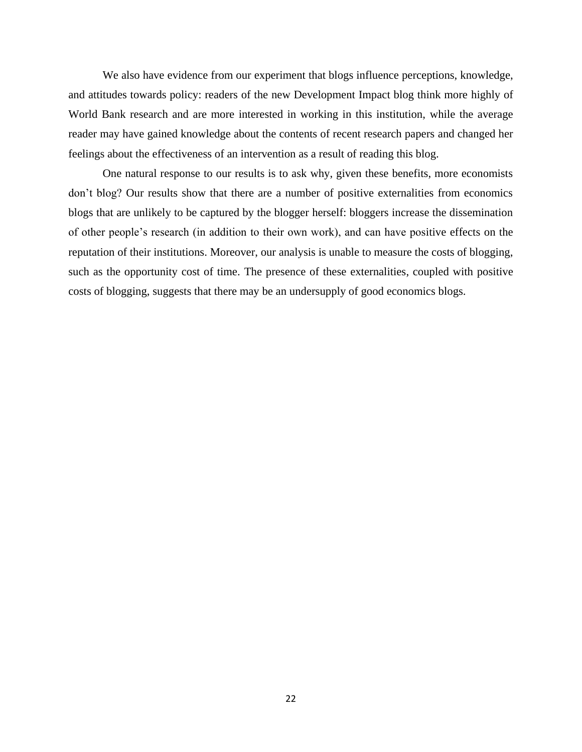We also have evidence from our experiment that blogs influence perceptions, knowledge, and attitudes towards policy: readers of the new Development Impact blog think more highly of World Bank research and are more interested in working in this institution, while the average reader may have gained knowledge about the contents of recent research papers and changed her feelings about the effectiveness of an intervention as a result of reading this blog.

One natural response to our results is to ask why, given these benefits, more economists don't blog? Our results show that there are a number of positive externalities from economics blogs that are unlikely to be captured by the blogger herself: bloggers increase the dissemination of other people's research (in addition to their own work), and can have positive effects on the reputation of their institutions. Moreover, our analysis is unable to measure the costs of blogging, such as the opportunity cost of time. The presence of these externalities, coupled with positive costs of blogging, suggests that there may be an undersupply of good economics blogs.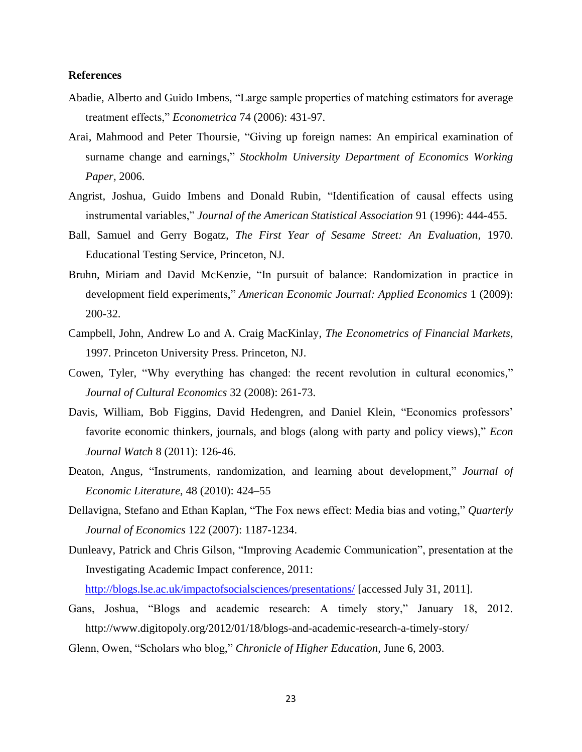## **References**

- Abadie, Alberto and Guido Imbens, "Large sample properties of matching estimators for average treatment effects," *Econometrica* 74 (2006): 431-97.
- Arai, Mahmood and Peter Thoursie, "Giving up foreign names: An empirical examination of surname change and earnings," *Stockholm University Department of Economics Working Paper,* 2006.
- Angrist, Joshua, Guido Imbens and Donald Rubin, "Identification of causal effects using instrumental variables," *Journal of the American Statistical Association* 91 (1996): 444-455.
- Ball, Samuel and Gerry Bogatz, *The First Year of Sesame Street: An Evaluation,* 1970. Educational Testing Service, Princeton, NJ.
- Bruhn, Miriam and David McKenzie, "In pursuit of balance: Randomization in practice in development field experiments," *American Economic Journal: Applied Economics* 1 (2009): 200-32.
- Campbell, John, Andrew Lo and A. Craig MacKinlay, *The Econometrics of Financial Markets,*  1997. Princeton University Press. Princeton, NJ.
- Cowen, Tyler, "Why everything has changed: the recent revolution in cultural economics," *Journal of Cultural Economics* 32 (2008): 261-73.
- Davis, William, Bob Figgins, David Hedengren, and Daniel Klein, "Economics professors' favorite economic thinkers, journals, and blogs (along with party and policy views)," *Econ Journal Watch* 8 (2011): 126-46.
- Deaton, Angus, "Instruments, randomization, and learning about development," *Journal of Economic Literature*, 48 (2010): 424–55
- Dellavigna, Stefano and Ethan Kaplan, "The Fox news effect: Media bias and voting," *Quarterly Journal of Economics* 122 (2007): 1187-1234.
- Dunleavy, Patrick and Chris Gilson, "Improving Academic Communication", presentation at the Investigating Academic Impact conference, 2011:

<http://blogs.lse.ac.uk/impactofsocialsciences/presentations/> [accessed July 31, 2011].

- Gans, Joshua, "Blogs and academic research: A timely story," January 18, 2012. http://www.digitopoly.org/2012/01/18/blogs-and-academic-research-a-timely-story/
- Glenn, Owen, "Scholars who blog," *Chronicle of Higher Education*, June 6, 2003.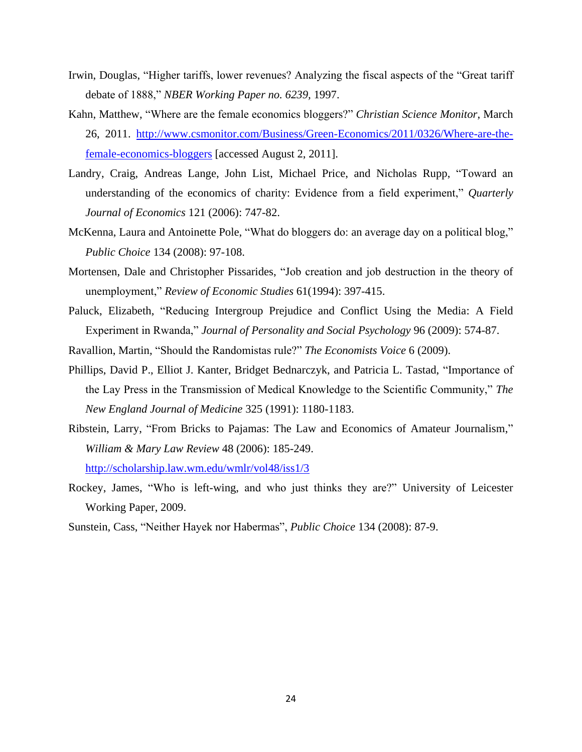- Irwin, Douglas, "Higher tariffs, lower revenues? Analyzing the fiscal aspects of the "Great tariff debate of 1888," *NBER Working Paper no. 6239,* 1997.
- Kahn, Matthew, "Where are the female economics bloggers?" *Christian Science Monitor*, March 26, 2011. [http://www.csmonitor.com/Business/Green-Economics/2011/0326/Where-are-the](http://www.csmonitor.com/Business/Green-Economics/2011/0326/Where-are-the-female-economics-bloggers)[female-economics-bloggers](http://www.csmonitor.com/Business/Green-Economics/2011/0326/Where-are-the-female-economics-bloggers) [accessed August 2, 2011].
- Landry, Craig, Andreas Lange, John List, Michael Price, and Nicholas Rupp, "Toward an understanding of the economics of charity: Evidence from a field experiment," *Quarterly Journal of Economics* 121 (2006): 747-82.
- McKenna, Laura and Antoinette Pole, "What do bloggers do: an average day on a political blog," *Public Choice* 134 (2008): 97-108.
- Mortensen, Dale and Christopher Pissarides, "Job creation and job destruction in the theory of unemployment," *Review of Economic Studies* 61(1994): 397-415.
- Paluck, Elizabeth, "Reducing Intergroup Prejudice and Conflict Using the Media: A Field Experiment in Rwanda," *Journal of Personality and Social Psychology* 96 (2009): 574-87.
- Ravallion, Martin, "Should the Randomistas rule?" *The Economists Voice* 6 (2009).
- Phillips, David P., Elliot J. Kanter, Bridget Bednarczyk, and Patricia L. Tastad, "Importance of the Lay Press in the Transmission of Medical Knowledge to the Scientific Community," *The New England Journal of Medicine* 325 (1991): 1180-1183.
- Ribstein, Larry, "From Bricks to Pajamas: The Law and Economics of Amateur Journalism," *William & Mary Law Review* 48 (2006): 185-249.

<http://scholarship.law.wm.edu/wmlr/vol48/iss1/3>

- Rockey, James, "Who is left-wing, and who just thinks they are?" University of Leicester Working Paper, 2009.
- Sunstein, Cass, "Neither Hayek nor Habermas", *Public Choice* 134 (2008): 87-9.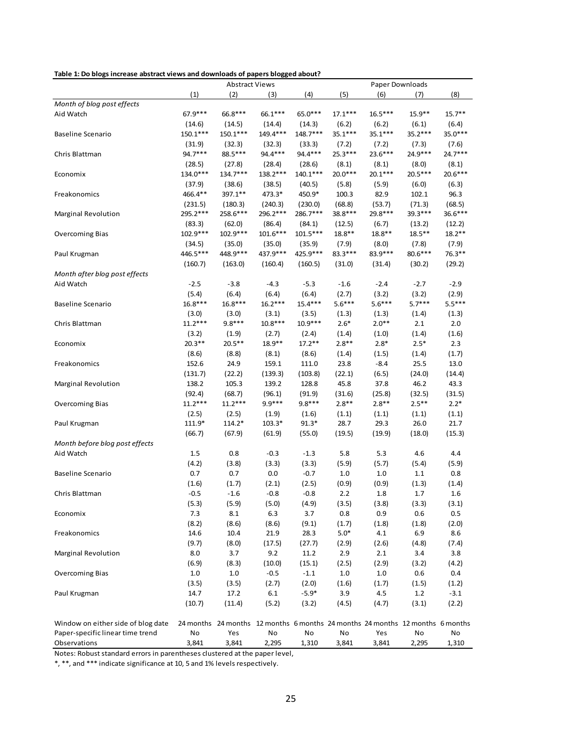**Table 1: Do blogs increase abstract views and downloads of papers blogged about?**

|                                    | <b>Abstract Views</b> |                                                                               |            | <b>Paper Downloads</b> |           |           |           |           |
|------------------------------------|-----------------------|-------------------------------------------------------------------------------|------------|------------------------|-----------|-----------|-----------|-----------|
|                                    | (1)                   | (2)                                                                           | (3)        | (4)                    | (5)       | (6)       | (7)       | (8)       |
| Month of blog post effects         |                       |                                                                               |            |                        |           |           |           |           |
| Aid Watch                          | $67.9***$             | 66.8***                                                                       | 66.1***    | 65.0***                | $17.1***$ | $16.5***$ | $15.9**$  | $15.7***$ |
|                                    | (14.6)                | (14.5)                                                                        | (14.4)     | (14.3)                 | (6.2)     | (6.2)     | (6.1)     | (6.4)     |
| <b>Baseline Scenario</b>           | 150.1***              | 150.1***                                                                      | 149.4***   | $148.7***$             | 35.1***   | 35.1***   | 35.2***   | 35.0***   |
|                                    | (31.9)                | (32.3)                                                                        | (32.3)     | (33.3)                 | (7.2)     | (7.2)     | (7.3)     | (7.6)     |
| Chris Blattman                     | 94.7***               | 88.5***                                                                       | 94.4 ***   | 94.4 ***               | 25.3***   | $23.6***$ | 24.9***   | 24.7***   |
|                                    | (28.5)                | (27.8)                                                                        | (28.4)     | (28.6)                 | (8.1)     | (8.1)     | (8.0)     | (8.1)     |
| Economix                           | 134.0***              | 134.7***                                                                      | 138.2***   | $140.1***$             | 20.0***   | $20.1***$ | $20.5***$ | 20.6***   |
|                                    | (37.9)                | (38.6)                                                                        | (38.5)     | (40.5)                 | (5.8)     | (5.9)     | (6.0)     | (6.3)     |
| Freakonomics                       | 466.4**               | 397.1**                                                                       | 473.3*     | 450.9*                 | 100.3     | 82.9      | 102.1     | 96.3      |
|                                    | (231.5)               | (180.3)                                                                       | (240.3)    | (230.0)                | (68.8)    | (53.7)    | (71.3)    | (68.5)    |
| <b>Marginal Revolution</b>         | 295.2***              | 258.6***                                                                      | 296.2***   | 286.7***               | 38.8***   | 29.8***   | 39.3***   | 36.6***   |
|                                    | (83.3)                | (62.0)                                                                        | (86.4)     | (84.1)                 | (12.5)    | (6.7)     | (13.2)    | (12.2)    |
| <b>Overcoming Bias</b>             | 102.9***              | 102.9***                                                                      | $101.6***$ | $101.5***$             | $18.8**$  | $18.8**$  | $18.5***$ | $18.2**$  |
|                                    | (34.5)                | (35.0)                                                                        | (35.0)     | (35.9)                 | (7.9)     | (8.0)     | (7.8)     | (7.9)     |
| Paul Krugman                       | 446.5***              | 448.9***                                                                      | 437.9***   | 425.9***               | 83.3***   | 83.9 ***  | 80.6***   | $76.3**$  |
|                                    | (160.7)               | (163.0)                                                                       | (160.4)    | (160.5)                | (31.0)    | (31.4)    | (30.2)    | (29.2)    |
| Month after blog post effects      |                       |                                                                               |            |                        |           |           |           |           |
| Aid Watch                          | $-2.5$                | $-3.8$                                                                        | $-4.3$     | $-5.3$                 | $-1.6$    | $-2.4$    | $-2.7$    | $-2.9$    |
|                                    | (5.4)                 | (6.4)                                                                         | (6.4)      | (6.4)                  | (2.7)     | (3.2)     | (3.2)     | (2.9)     |
| <b>Baseline Scenario</b>           | 16.8***               | $16.8***$                                                                     | $16.2***$  | $15.4***$              | $5.6***$  | $5.6***$  | $5.7***$  | $5.5***$  |
|                                    | (3.0)                 | (3.0)                                                                         | (3.1)      | (3.5)                  | (1.3)     | (1.3)     | (1.4)     | (1.3)     |
| Chris Blattman                     | $11.2***$             | $9.8***$                                                                      | $10.8***$  | 10.9***                | $2.6*$    | $2.0**$   | 2.1       | 2.0       |
|                                    | (3.2)                 | (1.9)                                                                         | (2.7)      | (2.4)                  | (1.4)     | (1.0)     | (1.4)     | (1.6)     |
| Economix                           | $20.3***$             | $20.5***$                                                                     | 18.9**     | $17.2**$               | $2.8**$   | $2.8*$    | $2.5*$    | 2.3       |
|                                    | (8.6)                 | (8.8)                                                                         | (8.1)      | (8.6)                  | (1.4)     | (1.5)     | (1.4)     | (1.7)     |
| Freakonomics                       | 152.6                 | 24.9                                                                          | 159.1      | 111.0                  | 23.8      | $-8.4$    | 25.5      | 13.0      |
|                                    | (131.7)               | (22.2)                                                                        | (139.3)    | (103.8)                | (22.1)    | (6.5)     | (24.0)    | (14.4)    |
| Marginal Revolution                | 138.2                 | 105.3                                                                         | 139.2      | 128.8                  | 45.8      | 37.8      | 46.2      | 43.3      |
|                                    | (92.4)                | (68.7)                                                                        | (96.1)     | (91.9)                 | (31.6)    | (25.8)    | (32.5)    | (31.5)    |
| <b>Overcoming Bias</b>             | $11.2***$             | $11.2***$                                                                     | $9.9***$   | $9.8***$               | $2.8**$   | $2.8**$   | $2.5***$  | $2.2*$    |
|                                    | (2.5)                 | (2.5)                                                                         | (1.9)      | (1.6)                  | (1.1)     | (1.1)     | (1.1)     | (1.1)     |
| Paul Krugman                       | 111.9*                | 114.2*                                                                        | $103.3*$   | $91.3*$                | 28.7      | 29.3      | 26.0      | 21.7      |
|                                    | (66.7)                | (67.9)                                                                        | (61.9)     | (55.0)                 | (19.5)    | (19.9)    | (18.0)    | (15.3)    |
| Month before blog post effects     |                       |                                                                               |            |                        |           |           |           |           |
| Aid Watch                          | 1.5                   | 0.8                                                                           | $-0.3$     | $-1.3$                 | 5.8       | 5.3       | 4.6       | 4.4       |
|                                    | (4.2)                 | (3.8)                                                                         | (3.3)      | (3.3)                  | (5.9)     | (5.7)     | (5.4)     | (5.9)     |
| <b>Baseline Scenario</b>           | 0.7                   | 0.7                                                                           | 0.0        | $-0.7$                 | 1.0       | 1.0       | 1.1       | 0.8       |
|                                    | (1.6)                 | (1.7)                                                                         | (2.1)      | (2.5)                  | (0.9)     | (0.9)     | (1.3)     | (1.4)     |
| Chris Blattman                     | $-0.5$                | $-1.6$                                                                        | $-0.8$     | $-0.8$                 | 2.2       | 1.8       | 1.7       | 1.6       |
|                                    | (5.3)                 | (5.9)                                                                         | (5.0)      | (4.9)                  | (3.5)     | (3.8)     | (3.3)     | (3.1)     |
| Economix                           | 7.3                   | 8.1                                                                           | 6.3        | 3.7                    | 0.8       | 0.9       | 0.6       | 0.5       |
|                                    | (8.2)                 | (8.6)                                                                         | (8.6)      | (9.1)                  | (1.7)     | (1.8)     | (1.8)     | (2.0)     |
| Freakonomics                       | 14.6                  | 10.4                                                                          | 21.9       | 28.3                   | $5.0*$    | 4.1       | 6.9       | 8.6       |
|                                    | (9.7)                 | (8.0)                                                                         | (17.5)     | (27.7)                 | (2.9)     | (2.6)     | (4.8)     | (7.4)     |
| Marginal Revolution                | 8.0                   | 3.7                                                                           | 9.2        | 11.2                   | 2.9       | 2.1       | 3.4       | 3.8       |
|                                    | (6.9)                 | (8.3)                                                                         | (10.0)     | (15.1)                 | (2.5)     | (2.9)     | (3.2)     | (4.2)     |
| <b>Overcoming Bias</b>             | $1.0\,$               | $1.0\,$                                                                       | $-0.5$     | $-1.1$                 | $1.0\,$   | 1.0       | 0.6       | 0.4       |
|                                    | (3.5)                 | (3.5)                                                                         | (2.7)      | (2.0)                  | (1.6)     | (1.7)     | (1.5)     | (1.2)     |
| Paul Krugman                       | 14.7                  | 17.2                                                                          | 6.1        | $-5.9*$                | 3.9       | 4.5       | $1.2\,$   | $-3.1$    |
|                                    | (10.7)                | (11.4)                                                                        | (5.2)      | (3.2)                  | (4.5)     | (4.7)     | (3.1)     | (2.2)     |
|                                    |                       |                                                                               |            |                        |           |           |           |           |
| Window on either side of blog date |                       | 24 months 24 months 12 months 6 months 24 months 24 months 12 months 6 months |            |                        |           |           |           |           |
| Paper-specific linear time trend   | No                    | Yes                                                                           | No         | No                     | No        | Yes       | No        | No        |
| Observations                       | 3,841                 | 3,841                                                                         | 2,295      | 1,310                  | 3,841     | 3,841     | 2,295     | 1,310     |

Notes: Robust standard errors in parentheses clustered at the paper level,

\*, \*\*, and \*\*\* indicate significance at 10, 5 and 1% levels respectively.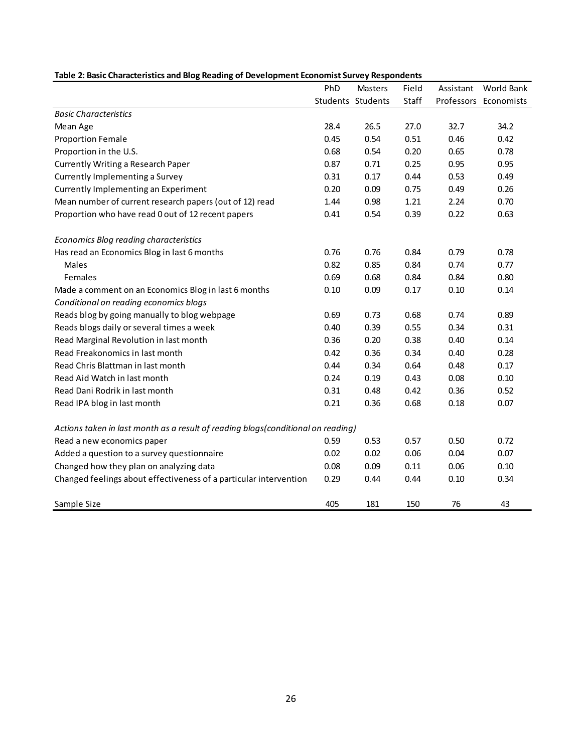|                                                                                  | PhD               | Masters | Field | Assistant | World Bank            |
|----------------------------------------------------------------------------------|-------------------|---------|-------|-----------|-----------------------|
|                                                                                  | Students Students |         | Staff |           | Professors Economists |
| <b>Basic Characteristics</b>                                                     |                   |         |       |           |                       |
| Mean Age                                                                         | 28.4              | 26.5    | 27.0  | 32.7      | 34.2                  |
| <b>Proportion Female</b>                                                         | 0.45              | 0.54    | 0.51  | 0.46      | 0.42                  |
| Proportion in the U.S.                                                           | 0.68              | 0.54    | 0.20  | 0.65      | 0.78                  |
| <b>Currently Writing a Research Paper</b>                                        | 0.87              | 0.71    | 0.25  | 0.95      | 0.95                  |
| Currently Implementing a Survey                                                  | 0.31              | 0.17    | 0.44  | 0.53      | 0.49                  |
| Currently Implementing an Experiment                                             | 0.20              | 0.09    | 0.75  | 0.49      | 0.26                  |
| Mean number of current research papers (out of 12) read                          | 1.44              | 0.98    | 1.21  | 2.24      | 0.70                  |
| Proportion who have read 0 out of 12 recent papers                               | 0.41              | 0.54    | 0.39  | 0.22      | 0.63                  |
| Economics Blog reading characteristics                                           |                   |         |       |           |                       |
| Has read an Economics Blog in last 6 months                                      | 0.76              | 0.76    | 0.84  | 0.79      | 0.78                  |
| Males                                                                            | 0.82              | 0.85    | 0.84  | 0.74      | 0.77                  |
| Females                                                                          | 0.69              | 0.68    | 0.84  | 0.84      | 0.80                  |
| Made a comment on an Economics Blog in last 6 months                             | 0.10              | 0.09    | 0.17  | 0.10      | 0.14                  |
| Conditional on reading economics blogs                                           |                   |         |       |           |                       |
| Reads blog by going manually to blog webpage                                     | 0.69              | 0.73    | 0.68  | 0.74      | 0.89                  |
| Reads blogs daily or several times a week                                        | 0.40              | 0.39    | 0.55  | 0.34      | 0.31                  |
| Read Marginal Revolution in last month                                           | 0.36              | 0.20    | 0.38  | 0.40      | 0.14                  |
| Read Freakonomics in last month                                                  | 0.42              | 0.36    | 0.34  | 0.40      | 0.28                  |
| Read Chris Blattman in last month                                                | 0.44              | 0.34    | 0.64  | 0.48      | 0.17                  |
| Read Aid Watch in last month                                                     | 0.24              | 0.19    | 0.43  | 0.08      | 0.10                  |
| Read Dani Rodrik in last month                                                   | 0.31              | 0.48    | 0.42  | 0.36      | 0.52                  |
| Read IPA blog in last month                                                      | 0.21              | 0.36    | 0.68  | 0.18      | 0.07                  |
| Actions taken in last month as a result of reading blogs(conditional on reading) |                   |         |       |           |                       |
| Read a new economics paper                                                       | 0.59              | 0.53    | 0.57  | 0.50      | 0.72                  |
| Added a question to a survey questionnaire                                       | 0.02              | 0.02    | 0.06  | 0.04      | 0.07                  |
| Changed how they plan on analyzing data                                          | 0.08              | 0.09    | 0.11  | 0.06      | 0.10                  |
| Changed feelings about effectiveness of a particular intervention                | 0.29              | 0.44    | 0.44  | 0.10      | 0.34                  |
| Sample Size                                                                      | 405               | 181     | 150   | 76        | 43                    |

#### **Table 2: Basic Characteristics and Blog Reading of Development Economist Survey Respondents**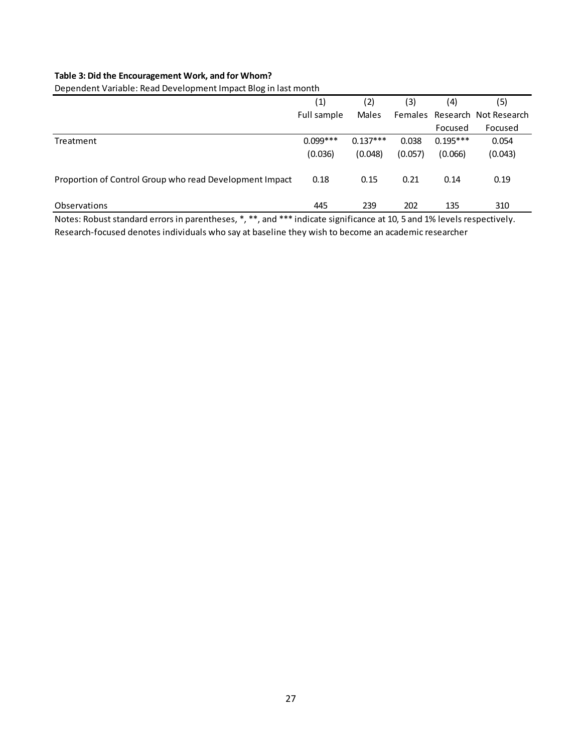## **Table 3: Did the Encouragement Work, and for Whom?**

Dependent Variable: Read Development Impact Blog in last month

|                                                         | (1)         | (2)        | (3)     | (4)        | (5)                           |
|---------------------------------------------------------|-------------|------------|---------|------------|-------------------------------|
|                                                         | Full sample | Males      |         |            | Females Research Not Research |
|                                                         |             |            |         | Focused    | Focused                       |
| Treatment                                               | $0.099***$  | $0.137***$ | 0.038   | $0.195***$ | 0.054                         |
|                                                         | (0.036)     | (0.048)    | (0.057) | (0.066)    | (0.043)                       |
| Proportion of Control Group who read Development Impact | 0.18        | 0.15       | 0.21    | 0.14       | 0.19                          |
| <b>Observations</b>                                     | 445         | 239        | 202     | 135        | 310                           |

Notes: Robust standard errors in parentheses, \*, \*\*, and \*\*\* indicate significance at 10, 5 and 1% levels respectively. Research-focused denotes individuals who say at baseline they wish to become an academic researcher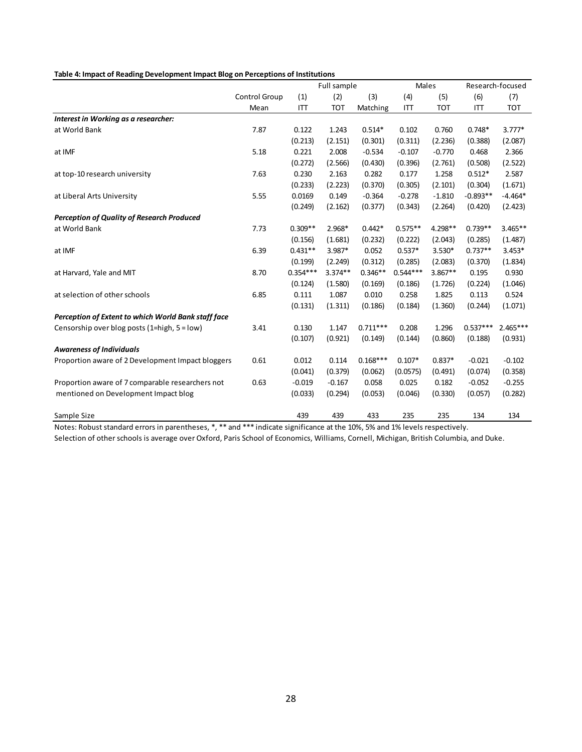#### **Table 4: Impact of Reading Development Impact Blog on Perceptions of Institutions**

|                                                     |               |            | Full sample |            |            | Males      |            | Research-focused |
|-----------------------------------------------------|---------------|------------|-------------|------------|------------|------------|------------|------------------|
|                                                     | Control Group | (1)        | (2)         | (3)        | (4)        | (5)        | (6)        | (7)              |
|                                                     | Mean          | ITT        | <b>TOT</b>  | Matching   | ITT        | <b>TOT</b> | ITT        | <b>TOT</b>       |
| Interest in Working as a researcher:                |               |            |             |            |            |            |            |                  |
| at World Bank                                       | 7.87          | 0.122      | 1.243       | $0.514*$   | 0.102      | 0.760      | $0.748*$   | $3.777*$         |
|                                                     |               | (0.213)    | (2.151)     | (0.301)    | (0.311)    | (2.236)    | (0.388)    | (2.087)          |
| at IMF                                              | 5.18          | 0.221      | 2.008       | $-0.534$   | $-0.107$   | $-0.770$   | 0.468      | 2.366            |
|                                                     |               | (0.272)    | (2.566)     | (0.430)    | (0.396)    | (2.761)    | (0.508)    | (2.522)          |
| at top-10 research university                       | 7.63          | 0.230      | 2.163       | 0.282      | 0.177      | 1.258      | $0.512*$   | 2.587            |
|                                                     |               | (0.233)    | (2.223)     | (0.370)    | (0.305)    | (2.101)    | (0.304)    | (1.671)          |
| at Liberal Arts University                          | 5.55          | 0.0169     | 0.149       | $-0.364$   | $-0.278$   | $-1.810$   | $-0.893**$ | $-4.464*$        |
|                                                     |               | (0.249)    | (2.162)     | (0.377)    | (0.343)    | (2.264)    | (0.420)    | (2.423)          |
| <b>Perception of Quality of Research Produced</b>   |               |            |             |            |            |            |            |                  |
| at World Bank                                       | 7.73          | $0.309**$  | 2.968*      | $0.442*$   | $0.575**$  | 4.298**    | $0.739**$  | $3.465**$        |
|                                                     |               | (0.156)    | (1.681)     | (0.232)    | (0.222)    | (2.043)    | (0.285)    | (1.487)          |
| at IMF                                              | 6.39          | $0.431**$  | 3.987*      | 0.052      | $0.537*$   | 3.530*     | $0.737**$  | $3.453*$         |
|                                                     |               | (0.199)    | (2.249)     | (0.312)    | (0.285)    | (2.083)    | (0.370)    | (1.834)          |
| at Harvard, Yale and MIT                            | 8.70          | $0.354***$ | $3.374**$   | $0.346**$  | $0.544***$ | $3.867**$  | 0.195      | 0.930            |
|                                                     |               | (0.124)    | (1.580)     | (0.169)    | (0.186)    | (1.726)    | (0.224)    | (1.046)          |
| at selection of other schools                       | 6.85          | 0.111      | 1.087       | 0.010      | 0.258      | 1.825      | 0.113      | 0.524            |
|                                                     |               | (0.131)    | (1.311)     | (0.186)    | (0.184)    | (1.360)    | (0.244)    | (1.071)          |
| Perception of Extent to which World Bank staff face |               |            |             |            |            |            |            |                  |
| Censorship over blog posts (1=high, 5 = low)        | 3.41          | 0.130      | 1.147       | $0.711***$ | 0.208      | 1.296      | $0.537***$ | $2.465***$       |
|                                                     |               | (0.107)    | (0.921)     | (0.149)    | (0.144)    | (0.860)    | (0.188)    | (0.931)          |
| <b>Awareness of Individuals</b>                     |               |            |             |            |            |            |            |                  |
| Proportion aware of 2 Development Impact bloggers   | 0.61          | 0.012      | 0.114       | $0.168***$ | $0.107*$   | $0.837*$   | $-0.021$   | $-0.102$         |
|                                                     |               | (0.041)    | (0.379)     | (0.062)    | (0.0575)   | (0.491)    | (0.074)    | (0.358)          |
| Proportion aware of 7 comparable researchers not    | 0.63          | $-0.019$   | $-0.167$    | 0.058      | 0.025      | 0.182      | $-0.052$   | $-0.255$         |
| mentioned on Development Impact blog                |               | (0.033)    | (0.294)     | (0.053)    | (0.046)    | (0.330)    | (0.057)    | (0.282)          |
| Sample Size                                         |               | 439        | 439         | 433        | 235        | 235        | 134        | 134              |

Notes: Robust standard errors in parentheses, \*, \*\* and \*\*\* indicate significance at the 10%, 5% and 1% levels respectively.

Selection of other schools is average over Oxford, Paris School of Economics, Williams, Cornell, Michigan, British Columbia, and Duke.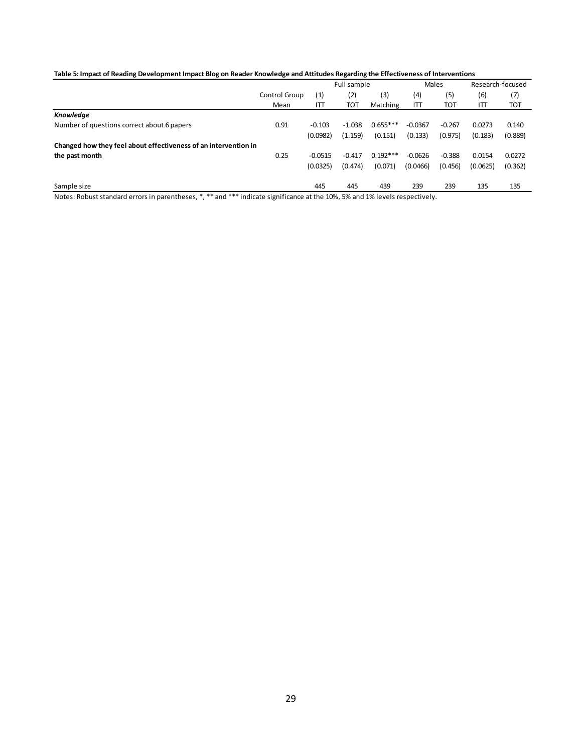#### **Table 5: Impact of Reading Development Impact Blog on Reader Knowledge and Attitudes Regarding the Effectiveness of Interventions**

| Control Group |           |                      | Full sample |           |          |          |                                                                                                                         | Males |  |  | Research-focused |  |
|---------------|-----------|----------------------|-------------|-----------|----------|----------|-------------------------------------------------------------------------------------------------------------------------|-------|--|--|------------------|--|
|               | (1)       | (2)                  | (3)         | (4)       | (5)      | (6)      | (7)                                                                                                                     |       |  |  |                  |  |
|               | ITT       | тот                  | Matching    | ITT       | TOT      | IП       | <b>TOT</b>                                                                                                              |       |  |  |                  |  |
|               |           |                      |             |           |          |          |                                                                                                                         |       |  |  |                  |  |
| 0.91          | $-0.103$  | $-1.038$             | $0.655***$  | $-0.0367$ | $-0.267$ | 0.0273   | 0.140                                                                                                                   |       |  |  |                  |  |
|               |           | (1.159)              | (0.151)     | (0.133)   | (0.975)  | (0.183)  | (0.889)                                                                                                                 |       |  |  |                  |  |
|               |           |                      |             |           |          |          |                                                                                                                         |       |  |  |                  |  |
| 0.25          | $-0.0515$ | $-0.417$             | $0.192***$  | $-0.0626$ | $-0.388$ | 0.0154   | 0.0272                                                                                                                  |       |  |  |                  |  |
|               |           | (0.474)              | (0.071)     | (0.0466)  | (0.456)  | (0.0625) | (0.362)                                                                                                                 |       |  |  |                  |  |
|               | 445       | 445                  | 439         | 239       | 239      | 135      | 135                                                                                                                     |       |  |  |                  |  |
|               | Mean      | (0.0982)<br>(0.0325) |             |           |          |          | Notari Babuet standard experie paranthecas * ***and *** indicate similizance at the 100/ FM and 10/ lough reconstituely |       |  |  |                  |  |

Notes: Robust standard errors in parentheses, \*, \*\* and \*\*\* indicate significance at the 10%, 5% and 1% levels respectively.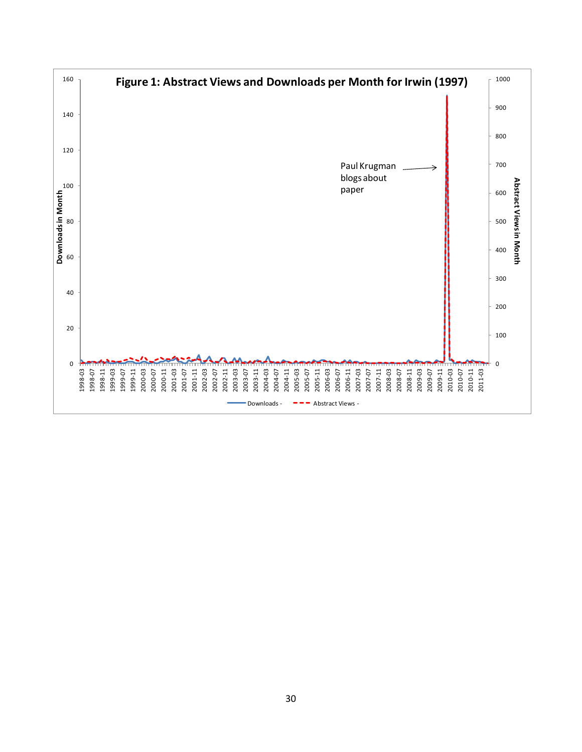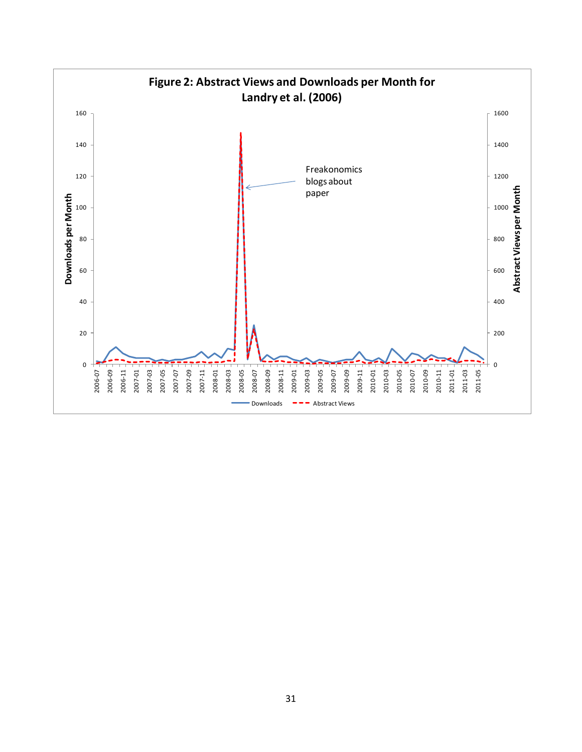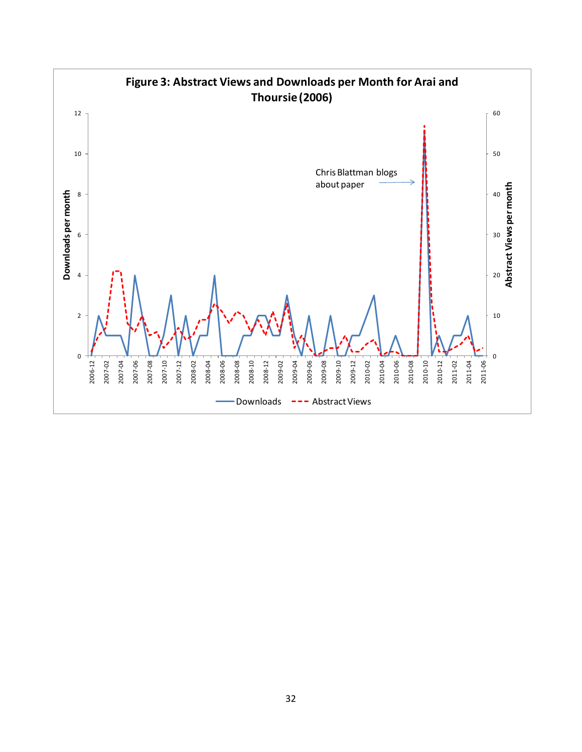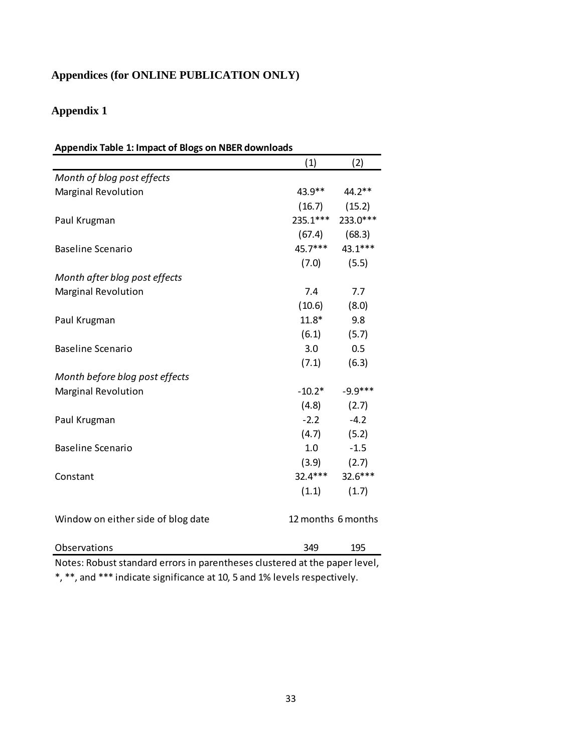# **Appendices (for ONLINE PUBLICATION ONLY)**

# **Appendix 1**

| Appendix Table 1: Impact of Blogs on NBER downloads |                    |                    |  |  |  |  |
|-----------------------------------------------------|--------------------|--------------------|--|--|--|--|
|                                                     | (1)                | (2)                |  |  |  |  |
| Month of blog post effects                          |                    |                    |  |  |  |  |
| Marginal Revolution                                 | 43.9**             | 44.2**             |  |  |  |  |
|                                                     | (16.7)             | (15.2)             |  |  |  |  |
| Paul Krugman                                        | 235.1***           | 233.0***           |  |  |  |  |
|                                                     | (67.4)             | (68.3)             |  |  |  |  |
| <b>Baseline Scenario</b>                            | $45.7***$          | 43.1***            |  |  |  |  |
|                                                     | (7.0)              | (5.5)              |  |  |  |  |
| Month after blog post effects                       |                    |                    |  |  |  |  |
| <b>Marginal Revolution</b>                          | 7.4                | 7.7                |  |  |  |  |
|                                                     | (10.6)             | (8.0)              |  |  |  |  |
| Paul Krugman                                        | $11.8*$            | 9.8                |  |  |  |  |
|                                                     | (6.1)              | (5.7)              |  |  |  |  |
| <b>Baseline Scenario</b>                            | 3.0                | 0.5                |  |  |  |  |
|                                                     | (7.1)              | (6.3)              |  |  |  |  |
| Month before blog post effects                      |                    |                    |  |  |  |  |
| <b>Marginal Revolution</b>                          | $-10.2*$           | $-9.9***$          |  |  |  |  |
|                                                     | (4.8)              | (2.7)              |  |  |  |  |
| Paul Krugman                                        | $-2.2$             | $-4.2$             |  |  |  |  |
|                                                     | (4.7)              | (5.2)              |  |  |  |  |
| <b>Baseline Scenario</b>                            | 1.0                | $-1.5$             |  |  |  |  |
|                                                     |                    | $(3.9)$ $(2.7)$    |  |  |  |  |
| Constant                                            |                    | 32.4*** 32.6***    |  |  |  |  |
|                                                     | (1.1)              | (1.7)              |  |  |  |  |
| Window on either side of blog date                  | 12 months 6 months |                    |  |  |  |  |
| Observations<br>a la<br>المستملة مربو               | 349                | 195<br>$1 - 1 - 1$ |  |  |  |  |

Notes: Robust standard errors in parentheses clustered at the paper level, \*, \*\*, and \*\*\* indicate significance at 10, 5 and 1% levels respectively.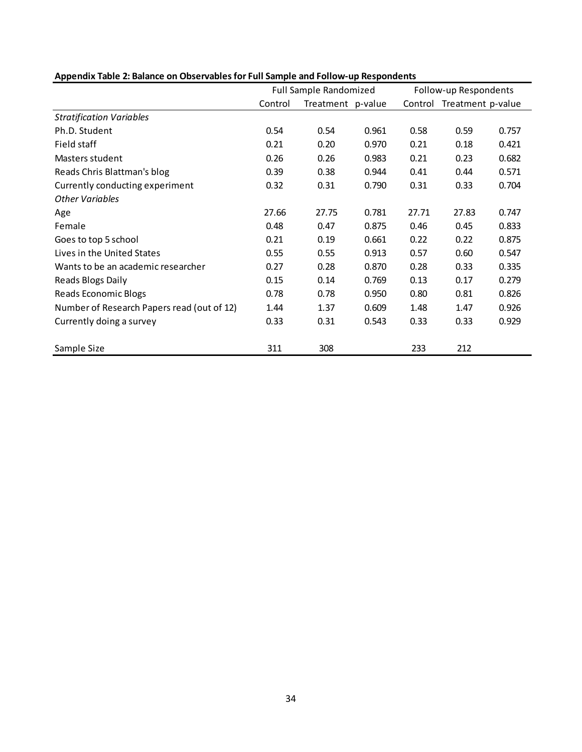|                                            | <b>Full Sample Randomized</b> |                   |       |         | Follow-up Respondents |       |  |
|--------------------------------------------|-------------------------------|-------------------|-------|---------|-----------------------|-------|--|
|                                            | Control                       | Treatment p-value |       | Control | Treatment p-value     |       |  |
| <b>Stratification Variables</b>            |                               |                   |       |         |                       |       |  |
| Ph.D. Student                              | 0.54                          | 0.54              | 0.961 | 0.58    | 0.59                  | 0.757 |  |
| Field staff                                | 0.21                          | 0.20              | 0.970 | 0.21    | 0.18                  | 0.421 |  |
| Masters student                            | 0.26                          | 0.26              | 0.983 | 0.21    | 0.23                  | 0.682 |  |
| Reads Chris Blattman's blog                | 0.39                          | 0.38              | 0.944 | 0.41    | 0.44                  | 0.571 |  |
| Currently conducting experiment            | 0.32                          | 0.31              | 0.790 | 0.31    | 0.33                  | 0.704 |  |
| <b>Other Variables</b>                     |                               |                   |       |         |                       |       |  |
| Age                                        | 27.66                         | 27.75             | 0.781 | 27.71   | 27.83                 | 0.747 |  |
| Female                                     | 0.48                          | 0.47              | 0.875 | 0.46    | 0.45                  | 0.833 |  |
| Goes to top 5 school                       | 0.21                          | 0.19              | 0.661 | 0.22    | 0.22                  | 0.875 |  |
| Lives in the United States                 | 0.55                          | 0.55              | 0.913 | 0.57    | 0.60                  | 0.547 |  |
| Wants to be an academic researcher         | 0.27                          | 0.28              | 0.870 | 0.28    | 0.33                  | 0.335 |  |
| Reads Blogs Daily                          | 0.15                          | 0.14              | 0.769 | 0.13    | 0.17                  | 0.279 |  |
| Reads Economic Blogs                       | 0.78                          | 0.78              | 0.950 | 0.80    | 0.81                  | 0.826 |  |
| Number of Research Papers read (out of 12) | 1.44                          | 1.37              | 0.609 | 1.48    | 1.47                  | 0.926 |  |
| Currently doing a survey                   | 0.33                          | 0.31              | 0.543 | 0.33    | 0.33                  | 0.929 |  |
| Sample Size                                | 311                           | 308               |       | 233     | 212                   |       |  |

# **Appendix Table 2: Balance on Observables for Full Sample and Follow-up Respondents**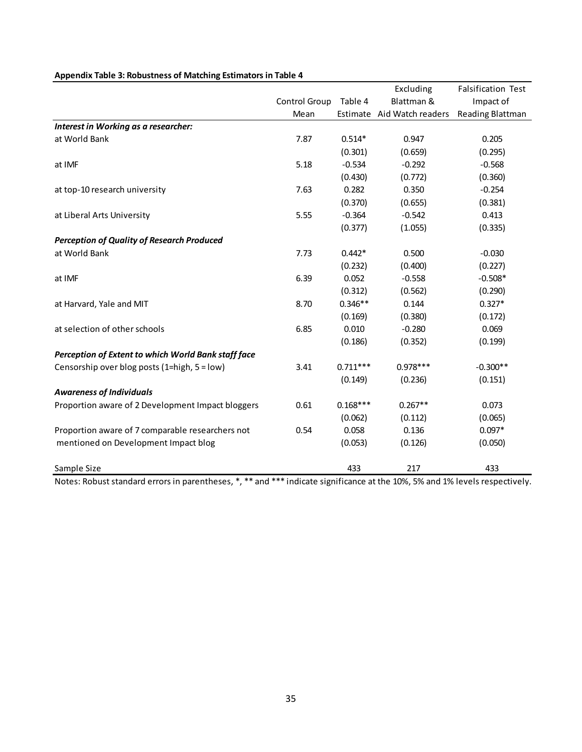|                                                     |               |            | Excluding                  | <b>Falsification Test</b> |
|-----------------------------------------------------|---------------|------------|----------------------------|---------------------------|
|                                                     | Control Group | Table 4    | Blattman &                 | Impact of                 |
|                                                     | Mean          |            | Estimate Aid Watch readers | Reading Blattman          |
| Interest in Working as a researcher:                |               |            |                            |                           |
| at World Bank                                       | 7.87          | $0.514*$   | 0.947                      | 0.205                     |
|                                                     |               | (0.301)    | (0.659)                    | (0.295)                   |
| at IMF                                              | 5.18          | $-0.534$   | $-0.292$                   | $-0.568$                  |
|                                                     |               | (0.430)    | (0.772)                    | (0.360)                   |
| at top-10 research university                       | 7.63          | 0.282      | 0.350                      | $-0.254$                  |
|                                                     |               | (0.370)    | (0.655)                    | (0.381)                   |
| at Liberal Arts University                          | 5.55          | $-0.364$   | $-0.542$                   | 0.413                     |
|                                                     |               | (0.377)    | (1.055)                    | (0.335)                   |
| <b>Perception of Quality of Research Produced</b>   |               |            |                            |                           |
| at World Bank                                       | 7.73          | $0.442*$   | 0.500                      | $-0.030$                  |
|                                                     |               | (0.232)    | (0.400)                    | (0.227)                   |
| at IMF                                              | 6.39          | 0.052      | $-0.558$                   | $-0.508*$                 |
|                                                     |               | (0.312)    | (0.562)                    | (0.290)                   |
| at Harvard, Yale and MIT                            | 8.70          | $0.346**$  | 0.144                      | $0.327*$                  |
|                                                     |               | (0.169)    | (0.380)                    | (0.172)                   |
| at selection of other schools                       | 6.85          | 0.010      | $-0.280$                   | 0.069                     |
|                                                     |               | (0.186)    | (0.352)                    | (0.199)                   |
| Perception of Extent to which World Bank staff face |               |            |                            |                           |
| Censorship over blog posts (1=high, 5 = low)        | 3.41          | $0.711***$ | $0.978***$                 | $-0.300**$                |
|                                                     |               | (0.149)    | (0.236)                    | (0.151)                   |
| <b>Awareness of Individuals</b>                     |               |            |                            |                           |
| Proportion aware of 2 Development Impact bloggers   | 0.61          | $0.168***$ | $0.267**$                  | 0.073                     |
|                                                     |               | (0.062)    | (0.112)                    | (0.065)                   |
| Proportion aware of 7 comparable researchers not    | 0.54          | 0.058      | 0.136                      | $0.097*$                  |
| mentioned on Development Impact blog                |               | (0.053)    | (0.126)                    | (0.050)                   |
| Sample Size                                         |               | 433        | 217                        | 433                       |

## **Appendix Table 3: Robustness of Matching Estimators in Table 4**

Notes: Robust standard errors in parentheses, \*, \*\* and \*\*\* indicate significance at the 10%, 5% and 1% levels respectively.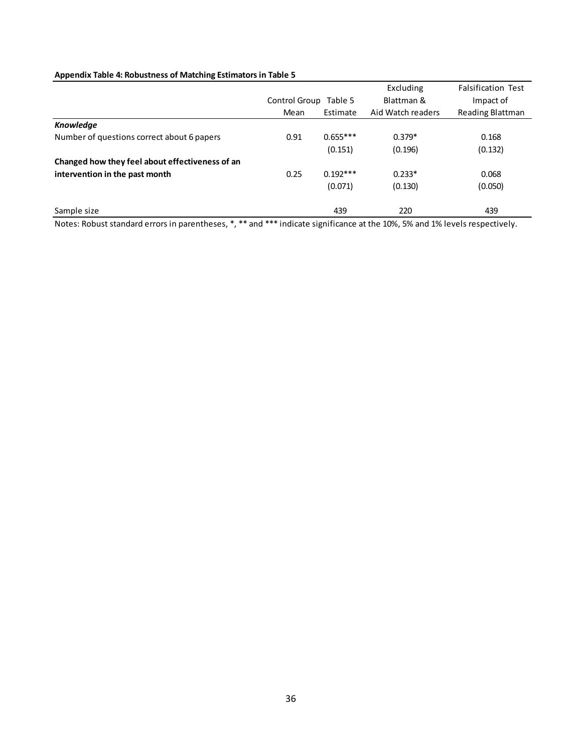## **Appendix Table 4: Robustness of Matching Estimators in Table 5**

|                                                 |                          |            | Excluding         | <b>Falsification Test</b> |
|-------------------------------------------------|--------------------------|------------|-------------------|---------------------------|
|                                                 | Control Group<br>Table 5 |            | Blattman &        | Impact of                 |
|                                                 | Mean                     | Estimate   | Aid Watch readers | Reading Blattman          |
| <b>Knowledge</b>                                |                          |            |                   |                           |
| Number of questions correct about 6 papers      | 0.91                     | $0.655***$ | $0.379*$          | 0.168                     |
|                                                 |                          | (0.151)    | (0.196)           | (0.132)                   |
| Changed how they feel about effectiveness of an |                          |            |                   |                           |
| intervention in the past month                  | 0.25                     | $0.192***$ | $0.233*$          | 0.068                     |
|                                                 |                          | (0.071)    | (0.130)           | (0.050)                   |
| Sample size                                     |                          | 439        | 220               | 439                       |

Notes: Robust standard errors in parentheses, \*, \*\* and \*\*\* indicate significance at the 10%, 5% and 1% levels respectively.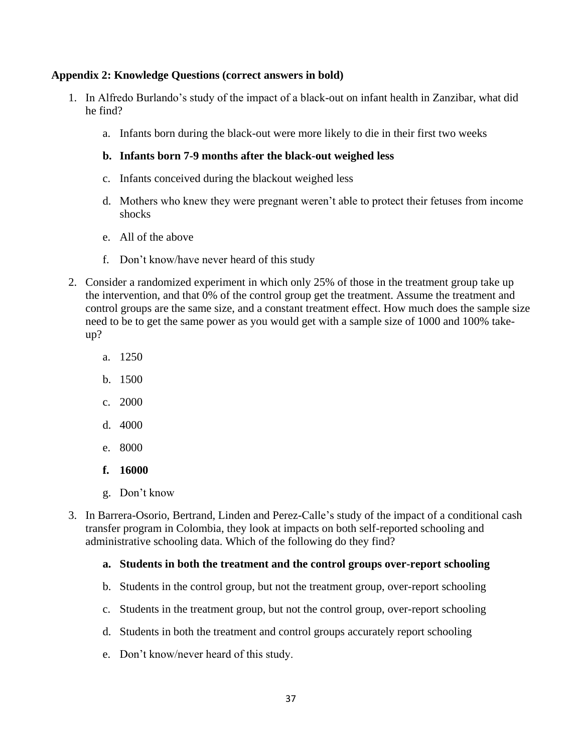# **Appendix 2: Knowledge Questions (correct answers in bold)**

- 1. In Alfredo Burlando's study of the impact of a black-out on infant health in Zanzibar, what did he find?
	- a. Infants born during the black-out were more likely to die in their first two weeks

# **b. Infants born 7-9 months after the black-out weighed less**

- c. Infants conceived during the blackout weighed less
- d. Mothers who knew they were pregnant weren't able to protect their fetuses from income shocks
- e. All of the above
- f. Don't know/have never heard of this study
- 2. Consider a randomized experiment in which only 25% of those in the treatment group take up the intervention, and that 0% of the control group get the treatment. Assume the treatment and control groups are the same size, and a constant treatment effect. How much does the sample size need to be to get the same power as you would get with a sample size of 1000 and 100% takeup?
	- a. 1250
	- b. 1500
	- c. 2000
	- d. 4000
	- e. 8000
	- **f. 16000**
	- g. Don't know
- 3. In Barrera-Osorio, Bertrand, Linden and Perez-Calle's study of the impact of a conditional cash transfer program in Colombia, they look at impacts on both self-reported schooling and administrative schooling data. Which of the following do they find?

# **a. Students in both the treatment and the control groups over-report schooling**

- b. Students in the control group, but not the treatment group, over-report schooling
- c. Students in the treatment group, but not the control group, over-report schooling
- d. Students in both the treatment and control groups accurately report schooling
- e. Don't know/never heard of this study.